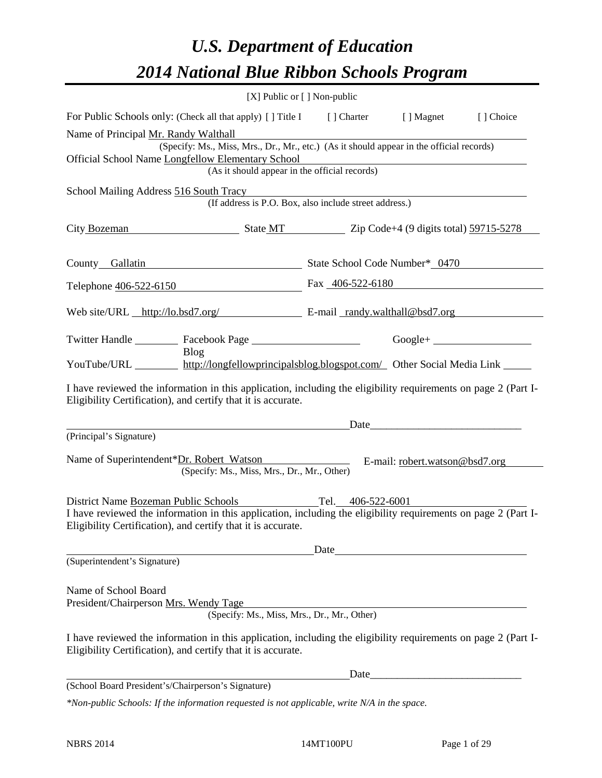## *U.S. Department of Education 2014 National Blue Ribbon Schools Program*

|                                                                                                                                                                                | [X] Public or [] Non-public                                                              |                                                                                                                                                                                                                               |                                |            |  |  |  |  |
|--------------------------------------------------------------------------------------------------------------------------------------------------------------------------------|------------------------------------------------------------------------------------------|-------------------------------------------------------------------------------------------------------------------------------------------------------------------------------------------------------------------------------|--------------------------------|------------|--|--|--|--|
| For Public Schools only: (Check all that apply) [] Title I [] Charter [] Magnet                                                                                                |                                                                                          |                                                                                                                                                                                                                               |                                | [ ] Choice |  |  |  |  |
| Name of Principal Mr. Randy Walthall                                                                                                                                           |                                                                                          |                                                                                                                                                                                                                               |                                |            |  |  |  |  |
|                                                                                                                                                                                | (Specify: Ms., Miss, Mrs., Dr., Mr., etc.) (As it should appear in the official records) |                                                                                                                                                                                                                               |                                |            |  |  |  |  |
| Official School Name Longfellow Elementary School                                                                                                                              | (As it should appear in the official records)                                            |                                                                                                                                                                                                                               |                                |            |  |  |  |  |
|                                                                                                                                                                                |                                                                                          |                                                                                                                                                                                                                               |                                |            |  |  |  |  |
| School Mailing Address 516 South Tracy<br>(If address is P.O. Box, also include street address.)                                                                               |                                                                                          |                                                                                                                                                                                                                               |                                |            |  |  |  |  |
| City Bozeman State MT Zip Code+4 (9 digits total) 59715-5278                                                                                                                   |                                                                                          |                                                                                                                                                                                                                               |                                |            |  |  |  |  |
| County Gallatin State School Code Number* 0470                                                                                                                                 |                                                                                          |                                                                                                                                                                                                                               |                                |            |  |  |  |  |
| Telephone 406-522-6150 Fax 406-522-6180                                                                                                                                        |                                                                                          |                                                                                                                                                                                                                               |                                |            |  |  |  |  |
| Web site/URL http://lo.bsd7.org/ E-mail randy.walthall@bsd7.org                                                                                                                |                                                                                          |                                                                                                                                                                                                                               |                                |            |  |  |  |  |
| Twitter Handle ___________ Facebook Page __________________________________Google+ _________________                                                                           |                                                                                          |                                                                                                                                                                                                                               |                                |            |  |  |  |  |
| Blog                                                                                                                                                                           |                                                                                          |                                                                                                                                                                                                                               |                                |            |  |  |  |  |
| YouTube/URL http://longfellowprincipalsblog.blogspot.com/ Other Social Media Link                                                                                              |                                                                                          |                                                                                                                                                                                                                               |                                |            |  |  |  |  |
| I have reviewed the information in this application, including the eligibility requirements on page 2 (Part I-<br>Eligibility Certification), and certify that it is accurate. |                                                                                          |                                                                                                                                                                                                                               |                                |            |  |  |  |  |
|                                                                                                                                                                                | Date Date Date Date                                                                      |                                                                                                                                                                                                                               |                                |            |  |  |  |  |
| (Principal's Signature)                                                                                                                                                        |                                                                                          |                                                                                                                                                                                                                               |                                |            |  |  |  |  |
| Name of Superintendent*Dr. Robert Watson                                                                                                                                       | (Specify: Ms., Miss, Mrs., Dr., Mr., Other)                                              |                                                                                                                                                                                                                               | E-mail: robert.watson@bsd7.org |            |  |  |  |  |
| District Name Bozeman Public Schools Tel. 406-522-6001                                                                                                                         |                                                                                          |                                                                                                                                                                                                                               |                                |            |  |  |  |  |
| I have reviewed the information in this application, including the eligibility requirements on page 2 (Part I-<br>Eligibility Certification), and certify that it is accurate. |                                                                                          |                                                                                                                                                                                                                               |                                |            |  |  |  |  |
|                                                                                                                                                                                |                                                                                          | Date and the same state of the state of the state of the state of the state of the state of the state of the state of the state of the state of the state of the state of the state of the state of the state of the state of |                                |            |  |  |  |  |
| (Superintendent's Signature)                                                                                                                                                   |                                                                                          |                                                                                                                                                                                                                               |                                |            |  |  |  |  |
| Name of School Board<br>President/Chairperson Mrs. Wendy Tage                                                                                                                  |                                                                                          |                                                                                                                                                                                                                               |                                |            |  |  |  |  |
|                                                                                                                                                                                | (Specify: Ms., Miss, Mrs., Dr., Mr., Other)                                              |                                                                                                                                                                                                                               |                                |            |  |  |  |  |
| I have reviewed the information in this application, including the eligibility requirements on page 2 (Part I-<br>Eligibility Certification), and certify that it is accurate. |                                                                                          |                                                                                                                                                                                                                               |                                |            |  |  |  |  |
|                                                                                                                                                                                |                                                                                          |                                                                                                                                                                                                                               |                                |            |  |  |  |  |
| (School Board President's/Chairperson's Signature)                                                                                                                             |                                                                                          |                                                                                                                                                                                                                               |                                |            |  |  |  |  |
| *Non-public Schools: If the information requested is not applicable, write N/A in the space.                                                                                   |                                                                                          |                                                                                                                                                                                                                               |                                |            |  |  |  |  |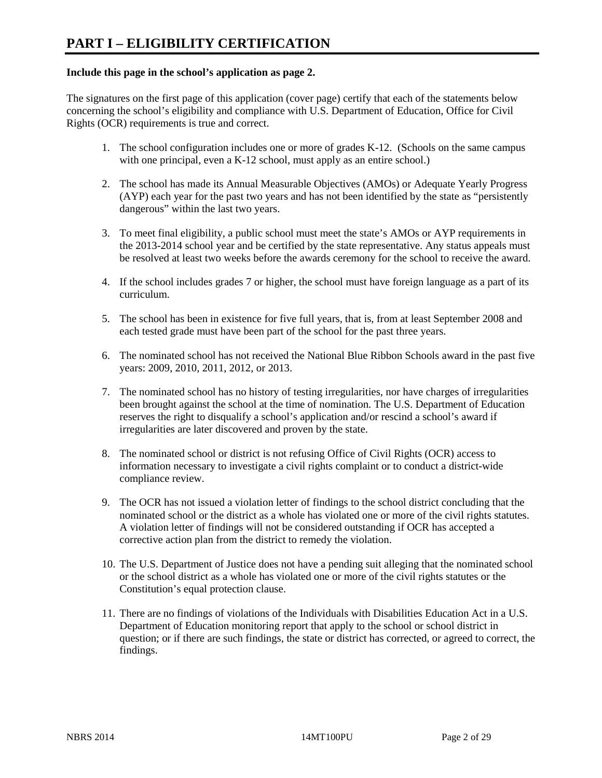#### **Include this page in the school's application as page 2.**

The signatures on the first page of this application (cover page) certify that each of the statements below concerning the school's eligibility and compliance with U.S. Department of Education, Office for Civil Rights (OCR) requirements is true and correct.

- 1. The school configuration includes one or more of grades K-12. (Schools on the same campus with one principal, even a K-12 school, must apply as an entire school.)
- 2. The school has made its Annual Measurable Objectives (AMOs) or Adequate Yearly Progress (AYP) each year for the past two years and has not been identified by the state as "persistently dangerous" within the last two years.
- 3. To meet final eligibility, a public school must meet the state's AMOs or AYP requirements in the 2013-2014 school year and be certified by the state representative. Any status appeals must be resolved at least two weeks before the awards ceremony for the school to receive the award.
- 4. If the school includes grades 7 or higher, the school must have foreign language as a part of its curriculum.
- 5. The school has been in existence for five full years, that is, from at least September 2008 and each tested grade must have been part of the school for the past three years.
- 6. The nominated school has not received the National Blue Ribbon Schools award in the past five years: 2009, 2010, 2011, 2012, or 2013.
- 7. The nominated school has no history of testing irregularities, nor have charges of irregularities been brought against the school at the time of nomination. The U.S. Department of Education reserves the right to disqualify a school's application and/or rescind a school's award if irregularities are later discovered and proven by the state.
- 8. The nominated school or district is not refusing Office of Civil Rights (OCR) access to information necessary to investigate a civil rights complaint or to conduct a district-wide compliance review.
- 9. The OCR has not issued a violation letter of findings to the school district concluding that the nominated school or the district as a whole has violated one or more of the civil rights statutes. A violation letter of findings will not be considered outstanding if OCR has accepted a corrective action plan from the district to remedy the violation.
- 10. The U.S. Department of Justice does not have a pending suit alleging that the nominated school or the school district as a whole has violated one or more of the civil rights statutes or the Constitution's equal protection clause.
- 11. There are no findings of violations of the Individuals with Disabilities Education Act in a U.S. Department of Education monitoring report that apply to the school or school district in question; or if there are such findings, the state or district has corrected, or agreed to correct, the findings.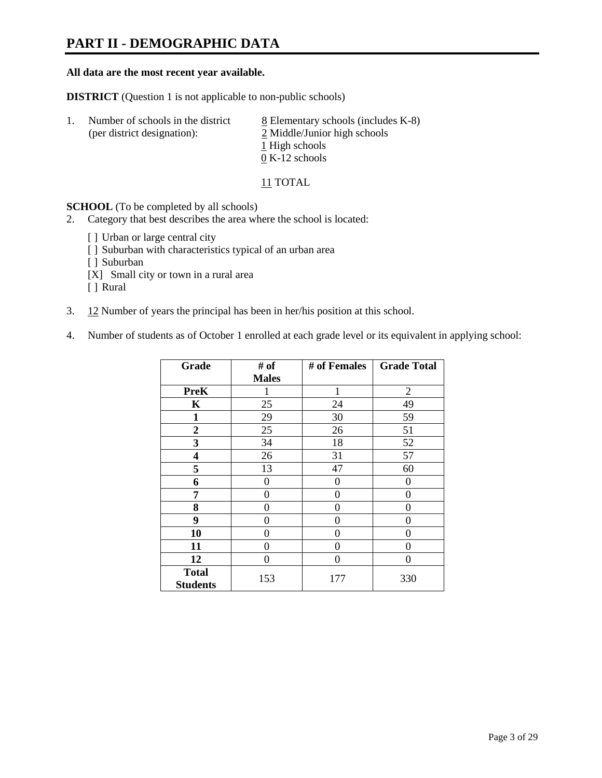### **PART II - DEMOGRAPHIC DATA**

#### **All data are the most recent year available.**

**DISTRICT** (Question 1 is not applicable to non-public schools)

| -1. | Number of schools in the district<br>(per district designation): | 8 Elementary schools (includes K-8)<br>2 Middle/Junior high schools |
|-----|------------------------------------------------------------------|---------------------------------------------------------------------|
|     |                                                                  | 1 High schools                                                      |
|     |                                                                  | $0 K-12$ schools                                                    |

11 TOTAL

**SCHOOL** (To be completed by all schools)

- 2. Category that best describes the area where the school is located:
	- [] Urban or large central city
	- [ ] Suburban with characteristics typical of an urban area
	- [ ] Suburban
	- [X] Small city or town in a rural area
	- [ ] Rural
- 3. 12 Number of years the principal has been in her/his position at this school.
- 4. Number of students as of October 1 enrolled at each grade level or its equivalent in applying school:

| Grade                           | # of         | # of Females | <b>Grade Total</b> |
|---------------------------------|--------------|--------------|--------------------|
|                                 | <b>Males</b> |              |                    |
| <b>PreK</b>                     |              | 1            | $\overline{2}$     |
| K                               | 25           | 24           | 49                 |
| $\mathbf{1}$                    | 29           | 30           | 59                 |
| $\mathbf{2}$                    | 25           | 26           | 51                 |
| 3                               | 34           | 18           | 52                 |
| 4                               | 26           | 31           | 57                 |
| 5                               | 13           | 47           | 60                 |
| 6                               | 0            | $\theta$     | $\theta$           |
| 7                               | $\theta$     | 0            | 0                  |
| 8                               | 0            | 0            | 0                  |
| 9                               | $\theta$     | $\theta$     | 0                  |
| 10                              | 0            | 0            | 0                  |
| 11                              | 0            | 0            | 0                  |
| 12                              | 0            | 0            | 0                  |
| <b>Total</b><br><b>Students</b> | 153          | 177          | 330                |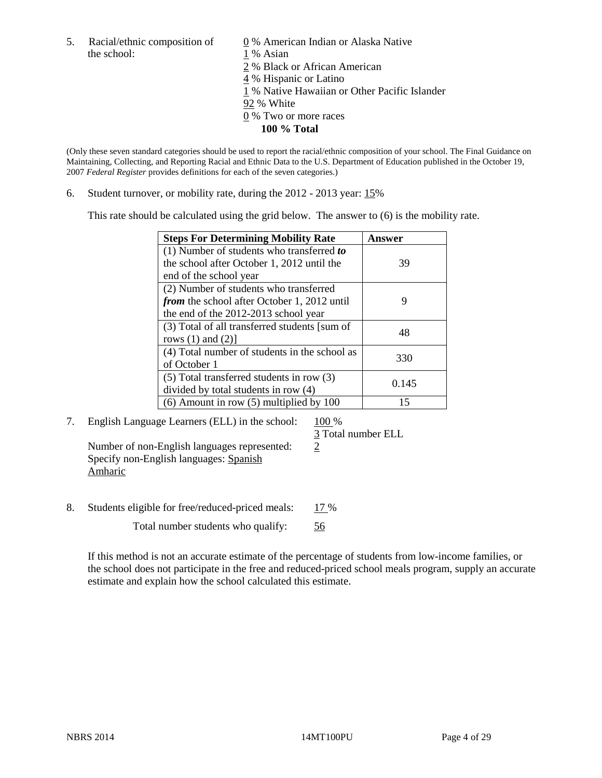the school: 1 % Asian

5. Racial/ethnic composition of  $\qquad \qquad \underline{0}$  % American Indian or Alaska Native 2 % Black or African American

4 % Hispanic or Latino

1 % Native Hawaiian or Other Pacific Islander

- 92 % White
- 0 % Two or more races
	- **100 % Total**

(Only these seven standard categories should be used to report the racial/ethnic composition of your school. The Final Guidance on Maintaining, Collecting, and Reporting Racial and Ethnic Data to the U.S. Department of Education published in the October 19, 2007 *Federal Register* provides definitions for each of the seven categories.)

6. Student turnover, or mobility rate, during the 2012 - 2013 year: 15%

This rate should be calculated using the grid below. The answer to (6) is the mobility rate.

| <b>Steps For Determining Mobility Rate</b>         | Answer |
|----------------------------------------------------|--------|
| $(1)$ Number of students who transferred to        |        |
| the school after October 1, 2012 until the         | 39     |
| end of the school year                             |        |
| (2) Number of students who transferred             |        |
| <i>from</i> the school after October 1, 2012 until | 9      |
| the end of the 2012-2013 school year               |        |
| (3) Total of all transferred students [sum of      | 48     |
| rows $(1)$ and $(2)$ ]                             |        |
| (4) Total number of students in the school as      | 330    |
| of October 1                                       |        |
| $(5)$ Total transferred students in row $(3)$      | 0.145  |
| divided by total students in row (4)               |        |
| $(6)$ Amount in row $(5)$ multiplied by 100        | 15     |

7. English Language Learners (ELL) in the school: 100 %

 3 Total number ELL Number of non-English languages represented: 2 Specify non-English languages: Spanish

8. Students eligible for free/reduced-priced meals: 17 %

Total number students who qualify: 56

If this method is not an accurate estimate of the percentage of students from low-income families, or the school does not participate in the free and reduced-priced school meals program, supply an accurate estimate and explain how the school calculated this estimate.

Amharic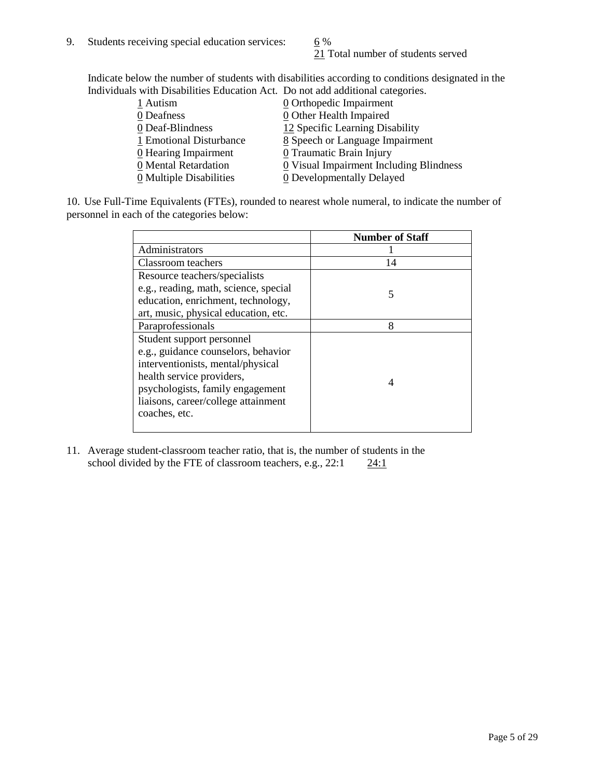21 Total number of students served

Indicate below the number of students with disabilities according to conditions designated in the Individuals with Disabilities Education Act. Do not add additional categories.

| 1 Autism                           | $\underline{0}$ Orthopedic Impairment   |
|------------------------------------|-----------------------------------------|
| 0 Deafness                         | 0 Other Health Impaired                 |
| 0 Deaf-Blindness                   | 12 Specific Learning Disability         |
| 1 Emotional Disturbance            | 8 Speech or Language Impairment         |
| $\underline{0}$ Hearing Impairment | 0 Traumatic Brain Injury                |
| 0 Mental Retardation               | 0 Visual Impairment Including Blindness |
| 0 Multiple Disabilities            | 0 Developmentally Delayed               |
|                                    |                                         |

10. Use Full-Time Equivalents (FTEs), rounded to nearest whole numeral, to indicate the number of personnel in each of the categories below:

|                                       | <b>Number of Staff</b> |
|---------------------------------------|------------------------|
| Administrators                        |                        |
| Classroom teachers                    | 14                     |
| Resource teachers/specialists         |                        |
| e.g., reading, math, science, special | 5                      |
| education, enrichment, technology,    |                        |
| art, music, physical education, etc.  |                        |
| Paraprofessionals                     | 8                      |
| Student support personnel             |                        |
| e.g., guidance counselors, behavior   |                        |
| interventionists, mental/physical     |                        |
| health service providers,             | 4                      |
| psychologists, family engagement      |                        |
| liaisons, career/college attainment   |                        |
| coaches, etc.                         |                        |
|                                       |                        |

11. Average student-classroom teacher ratio, that is, the number of students in the school divided by the FTE of classroom teachers, e.g.,  $22:1$   $24:1$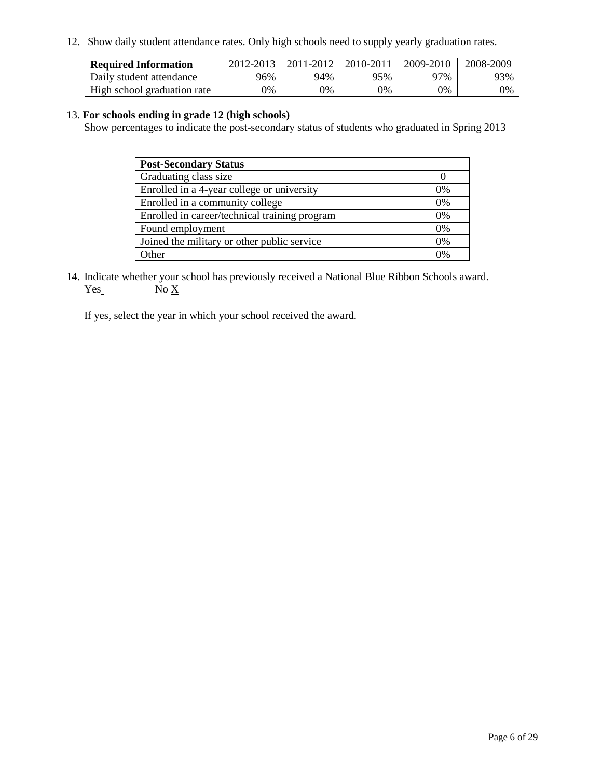12. Show daily student attendance rates. Only high schools need to supply yearly graduation rates.

| <b>Required Information</b> | 2012-2013 | 2011-2012 | 2010-2011 | 2009-2010 | 2008-2009 |
|-----------------------------|-----------|-----------|-----------|-----------|-----------|
| Daily student attendance    | 96%       | 94%       | 95%       | 97%       | 93%       |
| High school graduation rate | 0%        | 0%        | 0%        | 0%        | 0%        |

#### 13. **For schools ending in grade 12 (high schools)**

Show percentages to indicate the post-secondary status of students who graduated in Spring 2013

| <b>Post-Secondary Status</b>                  |          |
|-----------------------------------------------|----------|
| Graduating class size                         |          |
| Enrolled in a 4-year college or university    | $0\%$    |
| Enrolled in a community college               | 0%       |
| Enrolled in career/technical training program | 0%       |
| Found employment                              | 0%       |
| Joined the military or other public service   | 0%       |
| )ther                                         | $\gamma$ |

14. Indicate whether your school has previously received a National Blue Ribbon Schools award.  $Yes_$  No  $X_$ 

If yes, select the year in which your school received the award.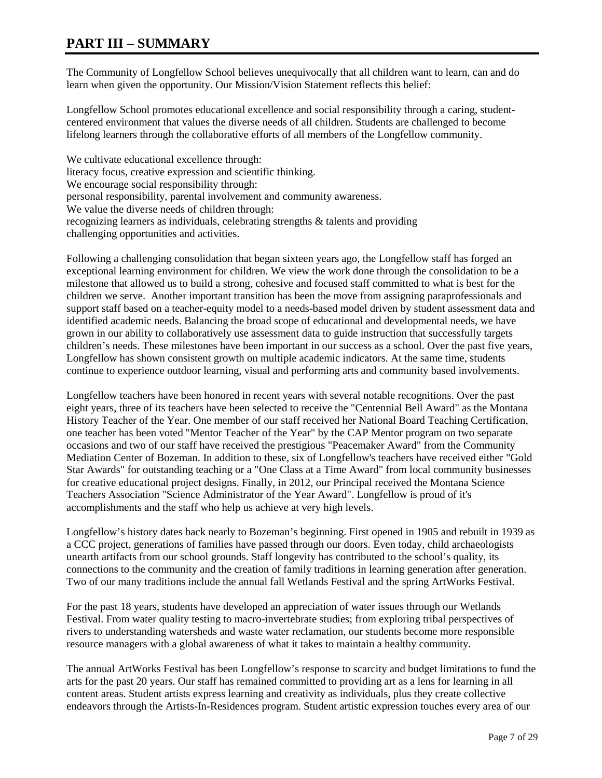#### **PART III – SUMMARY**

The Community of Longfellow School believes unequivocally that all children want to learn, can and do learn when given the opportunity. Our Mission/Vision Statement reflects this belief:

Longfellow School promotes educational excellence and social responsibility through a caring, studentcentered environment that values the diverse needs of all children. Students are challenged to become lifelong learners through the collaborative efforts of all members of the Longfellow community.

We cultivate educational excellence through: literacy focus, creative expression and scientific thinking. We encourage social responsibility through: personal responsibility, parental involvement and community awareness. We value the diverse needs of children through: recognizing learners as individuals, celebrating strengths & talents and providing challenging opportunities and activities.

Following a challenging consolidation that began sixteen years ago, the Longfellow staff has forged an exceptional learning environment for children. We view the work done through the consolidation to be a milestone that allowed us to build a strong, cohesive and focused staff committed to what is best for the children we serve. Another important transition has been the move from assigning paraprofessionals and support staff based on a teacher-equity model to a needs-based model driven by student assessment data and identified academic needs. Balancing the broad scope of educational and developmental needs, we have grown in our ability to collaboratively use assessment data to guide instruction that successfully targets children's needs. These milestones have been important in our success as a school. Over the past five years, Longfellow has shown consistent growth on multiple academic indicators. At the same time, students continue to experience outdoor learning, visual and performing arts and community based involvements.

Longfellow teachers have been honored in recent years with several notable recognitions. Over the past eight years, three of its teachers have been selected to receive the "Centennial Bell Award" as the Montana History Teacher of the Year. One member of our staff received her National Board Teaching Certification, one teacher has been voted "Mentor Teacher of the Year" by the CAP Mentor program on two separate occasions and two of our staff have received the prestigious "Peacemaker Award" from the Community Mediation Center of Bozeman. In addition to these, six of Longfellow's teachers have received either "Gold Star Awards" for outstanding teaching or a "One Class at a Time Award" from local community businesses for creative educational project designs. Finally, in 2012, our Principal received the Montana Science Teachers Association "Science Administrator of the Year Award". Longfellow is proud of it's accomplishments and the staff who help us achieve at very high levels.

Longfellow's history dates back nearly to Bozeman's beginning. First opened in 1905 and rebuilt in 1939 as a CCC project, generations of families have passed through our doors. Even today, child archaeologists unearth artifacts from our school grounds. Staff longevity has contributed to the school's quality, its connections to the community and the creation of family traditions in learning generation after generation. Two of our many traditions include the annual fall Wetlands Festival and the spring ArtWorks Festival.

For the past 18 years, students have developed an appreciation of water issues through our Wetlands Festival. From water quality testing to macro-invertebrate studies; from exploring tribal perspectives of rivers to understanding watersheds and waste water reclamation, our students become more responsible resource managers with a global awareness of what it takes to maintain a healthy community.

The annual ArtWorks Festival has been Longfellow's response to scarcity and budget limitations to fund the arts for the past 20 years. Our staff has remained committed to providing art as a lens for learning in all content areas. Student artists express learning and creativity as individuals, plus they create collective endeavors through the Artists-In-Residences program. Student artistic expression touches every area of our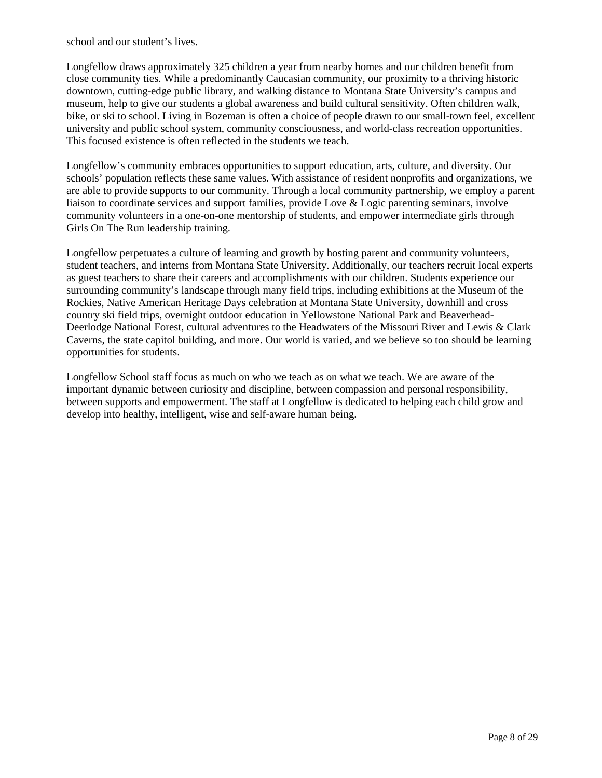school and our student's lives.

Longfellow draws approximately 325 children a year from nearby homes and our children benefit from close community ties. While a predominantly Caucasian community, our proximity to a thriving historic downtown, cutting-edge public library, and walking distance to Montana State University's campus and museum, help to give our students a global awareness and build cultural sensitivity. Often children walk, bike, or ski to school. Living in Bozeman is often a choice of people drawn to our small-town feel, excellent university and public school system, community consciousness, and world-class recreation opportunities. This focused existence is often reflected in the students we teach.

Longfellow's community embraces opportunities to support education, arts, culture, and diversity. Our schools' population reflects these same values. With assistance of resident nonprofits and organizations, we are able to provide supports to our community. Through a local community partnership, we employ a parent liaison to coordinate services and support families, provide Love & Logic parenting seminars, involve community volunteers in a one-on-one mentorship of students, and empower intermediate girls through Girls On The Run leadership training.

Longfellow perpetuates a culture of learning and growth by hosting parent and community volunteers, student teachers, and interns from Montana State University. Additionally, our teachers recruit local experts as guest teachers to share their careers and accomplishments with our children. Students experience our surrounding community's landscape through many field trips, including exhibitions at the Museum of the Rockies, Native American Heritage Days celebration at Montana State University, downhill and cross country ski field trips, overnight outdoor education in Yellowstone National Park and Beaverhead-Deerlodge National Forest, cultural adventures to the Headwaters of the Missouri River and Lewis & Clark Caverns, the state capitol building, and more. Our world is varied, and we believe so too should be learning opportunities for students.

Longfellow School staff focus as much on who we teach as on what we teach. We are aware of the important dynamic between curiosity and discipline, between compassion and personal responsibility, between supports and empowerment. The staff at Longfellow is dedicated to helping each child grow and develop into healthy, intelligent, wise and self-aware human being.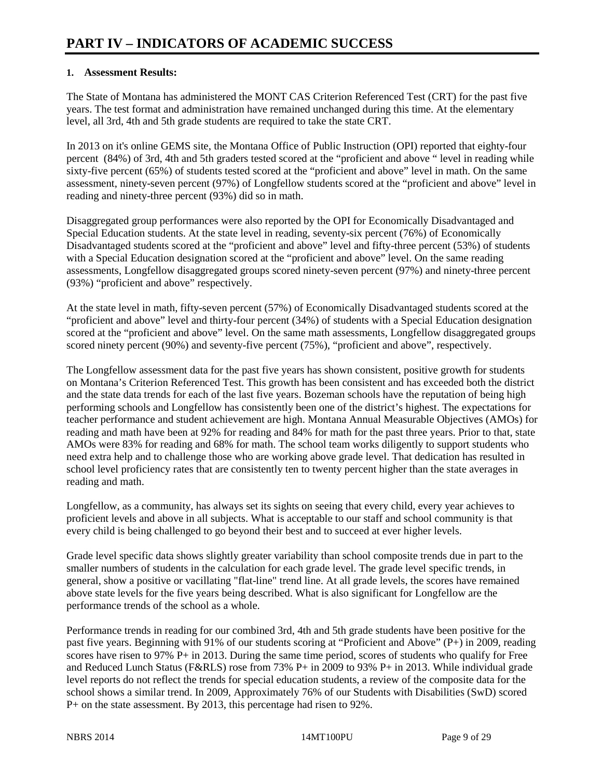#### **1. Assessment Results:**

The State of Montana has administered the MONT CAS Criterion Referenced Test (CRT) for the past five years. The test format and administration have remained unchanged during this time. At the elementary level, all 3rd, 4th and 5th grade students are required to take the state CRT.

In 2013 on it's online GEMS site, the Montana Office of Public Instruction (OPI) reported that eighty-four percent (84%) of 3rd, 4th and 5th graders tested scored at the "proficient and above " level in reading while sixty-five percent (65%) of students tested scored at the "proficient and above" level in math. On the same assessment, ninety-seven percent (97%) of Longfellow students scored at the "proficient and above" level in reading and ninety-three percent (93%) did so in math.

Disaggregated group performances were also reported by the OPI for Economically Disadvantaged and Special Education students. At the state level in reading, seventy-six percent (76%) of Economically Disadvantaged students scored at the "proficient and above" level and fifty-three percent (53%) of students with a Special Education designation scored at the "proficient and above" level. On the same reading assessments, Longfellow disaggregated groups scored ninety-seven percent (97%) and ninety-three percent (93%) "proficient and above" respectively.

At the state level in math, fifty-seven percent (57%) of Economically Disadvantaged students scored at the "proficient and above" level and thirty-four percent (34%) of students with a Special Education designation scored at the "proficient and above" level. On the same math assessments, Longfellow disaggregated groups scored ninety percent (90%) and seventy-five percent (75%), "proficient and above", respectively.

The Longfellow assessment data for the past five years has shown consistent, positive growth for students on Montana's Criterion Referenced Test. This growth has been consistent and has exceeded both the district and the state data trends for each of the last five years. Bozeman schools have the reputation of being high performing schools and Longfellow has consistently been one of the district's highest. The expectations for teacher performance and student achievement are high. Montana Annual Measurable Objectives (AMOs) for reading and math have been at 92% for reading and 84% for math for the past three years. Prior to that, state AMOs were 83% for reading and 68% for math. The school team works diligently to support students who need extra help and to challenge those who are working above grade level. That dedication has resulted in school level proficiency rates that are consistently ten to twenty percent higher than the state averages in reading and math.

Longfellow, as a community, has always set its sights on seeing that every child, every year achieves to proficient levels and above in all subjects. What is acceptable to our staff and school community is that every child is being challenged to go beyond their best and to succeed at ever higher levels.

Grade level specific data shows slightly greater variability than school composite trends due in part to the smaller numbers of students in the calculation for each grade level. The grade level specific trends, in general, show a positive or vacillating "flat-line" trend line. At all grade levels, the scores have remained above state levels for the five years being described. What is also significant for Longfellow are the performance trends of the school as a whole.

Performance trends in reading for our combined 3rd, 4th and 5th grade students have been positive for the past five years. Beginning with 91% of our students scoring at "Proficient and Above"  $(P+)$  in 2009, reading scores have risen to  $97\%$  P+ in 2013. During the same time period, scores of students who qualify for Free and Reduced Lunch Status (F&RLS) rose from 73% P+ in 2009 to 93% P+ in 2013. While individual grade level reports do not reflect the trends for special education students, a review of the composite data for the school shows a similar trend. In 2009, Approximately 76% of our Students with Disabilities (SwD) scored P+ on the state assessment. By 2013, this percentage had risen to 92%.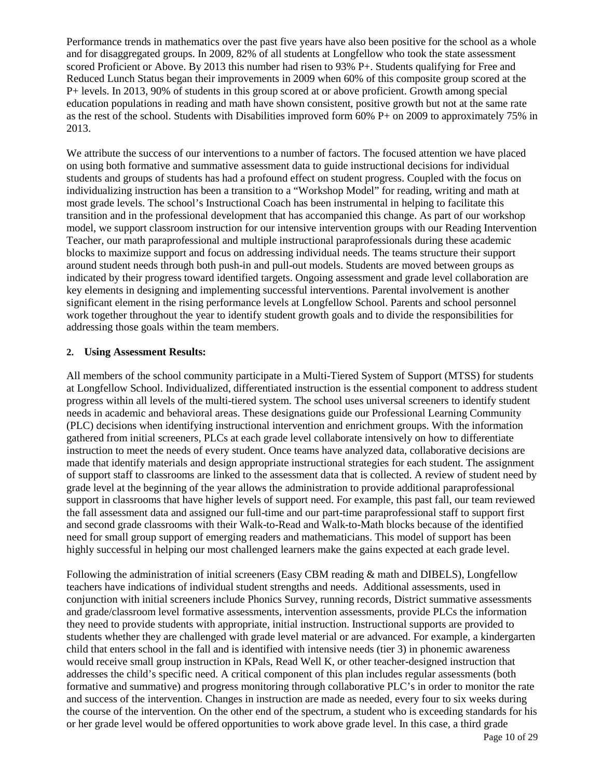Performance trends in mathematics over the past five years have also been positive for the school as a whole and for disaggregated groups. In 2009, 82% of all students at Longfellow who took the state assessment scored Proficient or Above. By 2013 this number had risen to 93% P+. Students qualifying for Free and Reduced Lunch Status began their improvements in 2009 when 60% of this composite group scored at the P+ levels. In 2013, 90% of students in this group scored at or above proficient. Growth among special education populations in reading and math have shown consistent, positive growth but not at the same rate as the rest of the school. Students with Disabilities improved form 60% P+ on 2009 to approximately 75% in 2013.

We attribute the success of our interventions to a number of factors. The focused attention we have placed on using both formative and summative assessment data to guide instructional decisions for individual students and groups of students has had a profound effect on student progress. Coupled with the focus on individualizing instruction has been a transition to a "Workshop Model" for reading, writing and math at most grade levels. The school's Instructional Coach has been instrumental in helping to facilitate this transition and in the professional development that has accompanied this change. As part of our workshop model, we support classroom instruction for our intensive intervention groups with our Reading Intervention Teacher, our math paraprofessional and multiple instructional paraprofessionals during these academic blocks to maximize support and focus on addressing individual needs. The teams structure their support around student needs through both push-in and pull-out models. Students are moved between groups as indicated by their progress toward identified targets. Ongoing assessment and grade level collaboration are key elements in designing and implementing successful interventions. Parental involvement is another significant element in the rising performance levels at Longfellow School. Parents and school personnel work together throughout the year to identify student growth goals and to divide the responsibilities for addressing those goals within the team members.

#### **2. Using Assessment Results:**

All members of the school community participate in a Multi-Tiered System of Support (MTSS) for students at Longfellow School. Individualized, differentiated instruction is the essential component to address student progress within all levels of the multi-tiered system. The school uses universal screeners to identify student needs in academic and behavioral areas. These designations guide our Professional Learning Community (PLC) decisions when identifying instructional intervention and enrichment groups. With the information gathered from initial screeners, PLCs at each grade level collaborate intensively on how to differentiate instruction to meet the needs of every student. Once teams have analyzed data, collaborative decisions are made that identify materials and design appropriate instructional strategies for each student. The assignment of support staff to classrooms are linked to the assessment data that is collected. A review of student need by grade level at the beginning of the year allows the administration to provide additional paraprofessional support in classrooms that have higher levels of support need. For example, this past fall, our team reviewed the fall assessment data and assigned our full-time and our part-time paraprofessional staff to support first and second grade classrooms with their Walk-to-Read and Walk-to-Math blocks because of the identified need for small group support of emerging readers and mathematicians. This model of support has been highly successful in helping our most challenged learners make the gains expected at each grade level.

Following the administration of initial screeners (Easy CBM reading & math and DIBELS), Longfellow teachers have indications of individual student strengths and needs. Additional assessments, used in conjunction with initial screeners include Phonics Survey, running records, District summative assessments and grade/classroom level formative assessments, intervention assessments, provide PLCs the information they need to provide students with appropriate, initial instruction. Instructional supports are provided to students whether they are challenged with grade level material or are advanced. For example, a kindergarten child that enters school in the fall and is identified with intensive needs (tier 3) in phonemic awareness would receive small group instruction in KPals, Read Well K, or other teacher-designed instruction that addresses the child's specific need. A critical component of this plan includes regular assessments (both formative and summative) and progress monitoring through collaborative PLC's in order to monitor the rate and success of the intervention. Changes in instruction are made as needed, every four to six weeks during the course of the intervention. On the other end of the spectrum, a student who is exceeding standards for his or her grade level would be offered opportunities to work above grade level. In this case, a third grade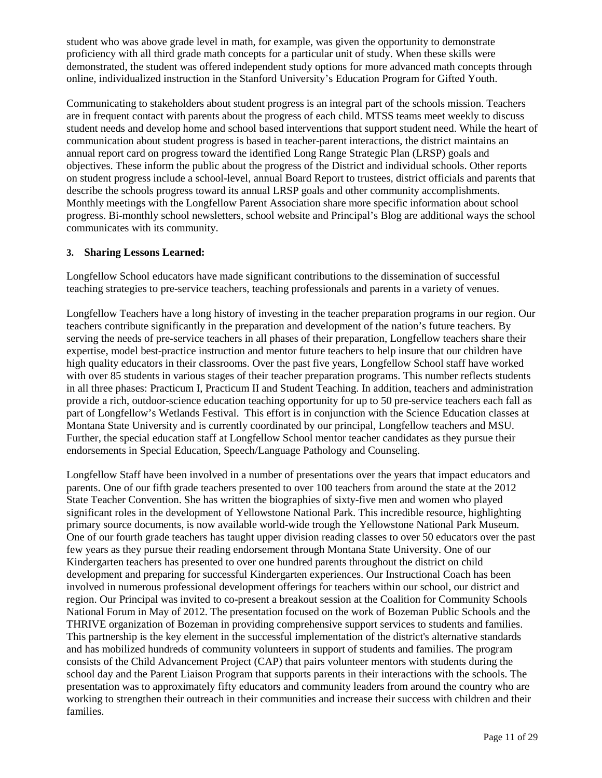student who was above grade level in math, for example, was given the opportunity to demonstrate proficiency with all third grade math concepts for a particular unit of study. When these skills were demonstrated, the student was offered independent study options for more advanced math concepts through online, individualized instruction in the Stanford University's Education Program for Gifted Youth.

Communicating to stakeholders about student progress is an integral part of the schools mission. Teachers are in frequent contact with parents about the progress of each child. MTSS teams meet weekly to discuss student needs and develop home and school based interventions that support student need. While the heart of communication about student progress is based in teacher-parent interactions, the district maintains an annual report card on progress toward the identified Long Range Strategic Plan (LRSP) goals and objectives. These inform the public about the progress of the District and individual schools. Other reports on student progress include a school-level, annual Board Report to trustees, district officials and parents that describe the schools progress toward its annual LRSP goals and other community accomplishments. Monthly meetings with the Longfellow Parent Association share more specific information about school progress. Bi-monthly school newsletters, school website and Principal's Blog are additional ways the school communicates with its community.

#### **3. Sharing Lessons Learned:**

Longfellow School educators have made significant contributions to the dissemination of successful teaching strategies to pre-service teachers, teaching professionals and parents in a variety of venues.

Longfellow Teachers have a long history of investing in the teacher preparation programs in our region. Our teachers contribute significantly in the preparation and development of the nation's future teachers. By serving the needs of pre-service teachers in all phases of their preparation, Longfellow teachers share their expertise, model best-practice instruction and mentor future teachers to help insure that our children have high quality educators in their classrooms. Over the past five years, Longfellow School staff have worked with over 85 students in various stages of their teacher preparation programs. This number reflects students in all three phases: Practicum I, Practicum II and Student Teaching. In addition, teachers and administration provide a rich, outdoor-science education teaching opportunity for up to 50 pre-service teachers each fall as part of Longfellow's Wetlands Festival. This effort is in conjunction with the Science Education classes at Montana State University and is currently coordinated by our principal, Longfellow teachers and MSU. Further, the special education staff at Longfellow School mentor teacher candidates as they pursue their endorsements in Special Education, Speech/Language Pathology and Counseling.

Longfellow Staff have been involved in a number of presentations over the years that impact educators and parents. One of our fifth grade teachers presented to over 100 teachers from around the state at the 2012 State Teacher Convention. She has written the biographies of sixty-five men and women who played significant roles in the development of Yellowstone National Park. This incredible resource, highlighting primary source documents, is now available world-wide trough the Yellowstone National Park Museum. One of our fourth grade teachers has taught upper division reading classes to over 50 educators over the past few years as they pursue their reading endorsement through Montana State University. One of our Kindergarten teachers has presented to over one hundred parents throughout the district on child development and preparing for successful Kindergarten experiences. Our Instructional Coach has been involved in numerous professional development offerings for teachers within our school, our district and region. Our Principal was invited to co-present a breakout session at the Coalition for Community Schools National Forum in May of 2012. The presentation focused on the work of Bozeman Public Schools and the THRIVE organization of Bozeman in providing comprehensive support services to students and families. This partnership is the key element in the successful implementation of the district's alternative standards and has mobilized hundreds of community volunteers in support of students and families. The program consists of the Child Advancement Project (CAP) that pairs volunteer mentors with students during the school day and the Parent Liaison Program that supports parents in their interactions with the schools. The presentation was to approximately fifty educators and community leaders from around the country who are working to strengthen their outreach in their communities and increase their success with children and their families.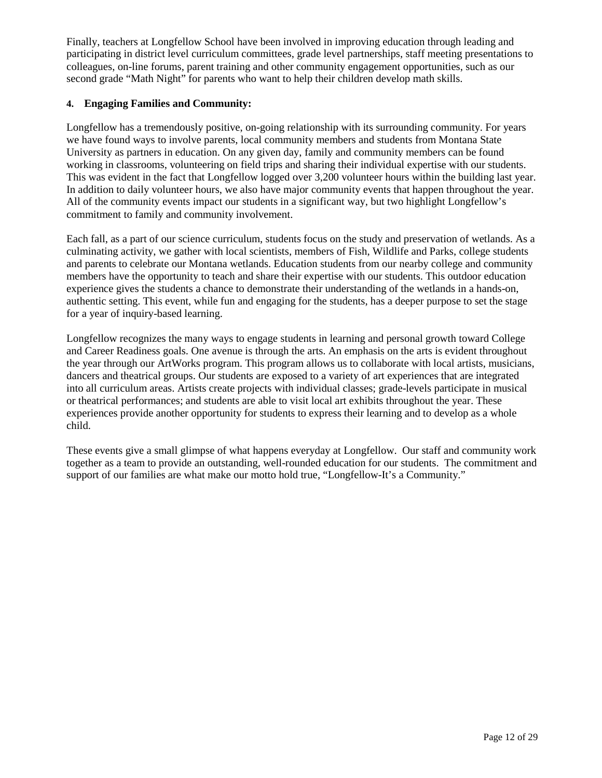Finally, teachers at Longfellow School have been involved in improving education through leading and participating in district level curriculum committees, grade level partnerships, staff meeting presentations to colleagues, on-line forums, parent training and other community engagement opportunities, such as our second grade "Math Night" for parents who want to help their children develop math skills.

#### **4. Engaging Families and Community:**

Longfellow has a tremendously positive, on-going relationship with its surrounding community. For years we have found ways to involve parents, local community members and students from Montana State University as partners in education. On any given day, family and community members can be found working in classrooms, volunteering on field trips and sharing their individual expertise with our students. This was evident in the fact that Longfellow logged over 3,200 volunteer hours within the building last year. In addition to daily volunteer hours, we also have major community events that happen throughout the year. All of the community events impact our students in a significant way, but two highlight Longfellow's commitment to family and community involvement.

Each fall, as a part of our science curriculum, students focus on the study and preservation of wetlands. As a culminating activity, we gather with local scientists, members of Fish, Wildlife and Parks, college students and parents to celebrate our Montana wetlands. Education students from our nearby college and community members have the opportunity to teach and share their expertise with our students. This outdoor education experience gives the students a chance to demonstrate their understanding of the wetlands in a hands-on, authentic setting. This event, while fun and engaging for the students, has a deeper purpose to set the stage for a year of inquiry-based learning.

Longfellow recognizes the many ways to engage students in learning and personal growth toward College and Career Readiness goals. One avenue is through the arts. An emphasis on the arts is evident throughout the year through our ArtWorks program. This program allows us to collaborate with local artists, musicians, dancers and theatrical groups. Our students are exposed to a variety of art experiences that are integrated into all curriculum areas. Artists create projects with individual classes; grade-levels participate in musical or theatrical performances; and students are able to visit local art exhibits throughout the year. These experiences provide another opportunity for students to express their learning and to develop as a whole child.

These events give a small glimpse of what happens everyday at Longfellow. Our staff and community work together as a team to provide an outstanding, well-rounded education for our students. The commitment and support of our families are what make our motto hold true, "Longfellow-It's a Community."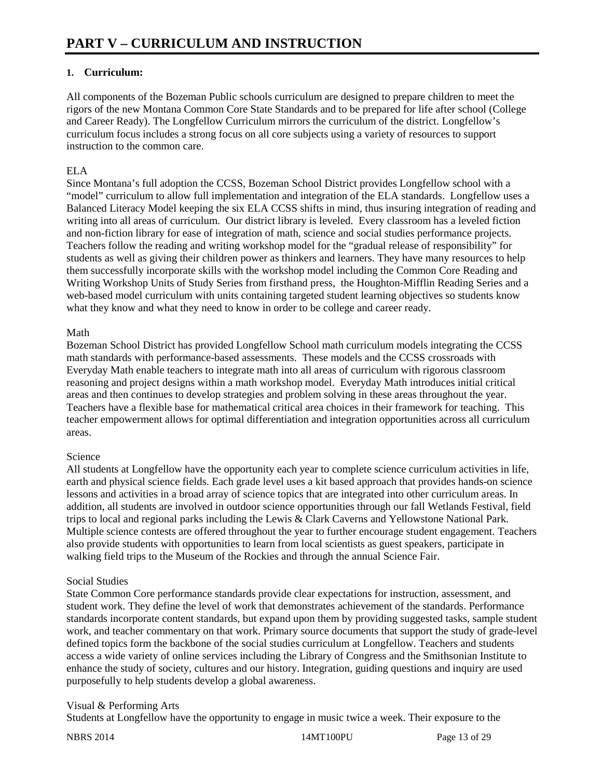#### **1. Curriculum:**

All components of the Bozeman Public schools curriculum are designed to prepare children to meet the rigors of the new Montana Common Core State Standards and to be prepared for life after school (College and Career Ready). The Longfellow Curriculum mirrors the curriculum of the district. Longfellow's curriculum focus includes a strong focus on all core subjects using a variety of resources to support instruction to the common care.

#### ELA

Since Montana's full adoption the CCSS, Bozeman School District provides Longfellow school with a "model" curriculum to allow full implementation and integration of the ELA standards. Longfellow uses a Balanced Literacy Model keeping the six ELA CCSS shifts in mind, thus insuring integration of reading and writing into all areas of curriculum. Our district library is leveled. Every classroom has a leveled fiction and non-fiction library for ease of integration of math, science and social studies performance projects. Teachers follow the reading and writing workshop model for the "gradual release of responsibility" for students as well as giving their children power as thinkers and learners. They have many resources to help them successfully incorporate skills with the workshop model including the Common Core Reading and Writing Workshop Units of Study Series from firsthand press, the Houghton-Mifflin Reading Series and a web-based model curriculum with units containing targeted student learning objectives so students know what they know and what they need to know in order to be college and career ready.

#### Math

Bozeman School District has provided Longfellow School math curriculum models integrating the CCSS math standards with performance-based assessments. These models and the CCSS crossroads with Everyday Math enable teachers to integrate math into all areas of curriculum with rigorous classroom reasoning and project designs within a math workshop model. Everyday Math introduces initial critical areas and then continues to develop strategies and problem solving in these areas throughout the year. Teachers have a flexible base for mathematical critical area choices in their framework for teaching. This teacher empowerment allows for optimal differentiation and integration opportunities across all curriculum areas.

#### Science

All students at Longfellow have the opportunity each year to complete science curriculum activities in life, earth and physical science fields. Each grade level uses a kit based approach that provides hands-on science lessons and activities in a broad array of science topics that are integrated into other curriculum areas. In addition, all students are involved in outdoor science opportunities through our fall Wetlands Festival, field trips to local and regional parks including the Lewis & Clark Caverns and Yellowstone National Park. Multiple science contests are offered throughout the year to further encourage student engagement. Teachers also provide students with opportunities to learn from local scientists as guest speakers, participate in walking field trips to the Museum of the Rockies and through the annual Science Fair.

#### Social Studies

State Common Core performance standards provide clear expectations for instruction, assessment, and student work. They define the level of work that demonstrates achievement of the standards. Performance standards incorporate content standards, but expand upon them by providing suggested tasks, sample student work, and teacher commentary on that work. Primary source documents that support the study of grade-level defined topics form the backbone of the social studies curriculum at Longfellow. Teachers and students access a wide variety of online services including the Library of Congress and the Smithsonian Institute to enhance the study of society, cultures and our history. Integration, guiding questions and inquiry are used purposefully to help students develop a global awareness.

#### Visual & Performing Arts

Students at Longfellow have the opportunity to engage in music twice a week. Their exposure to the

NBRS 2014 14MT100PU Page 13 of 29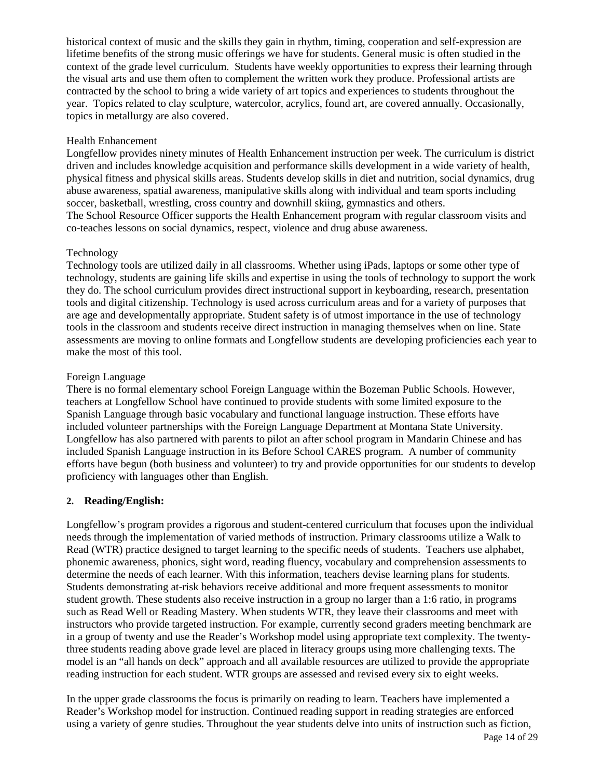historical context of music and the skills they gain in rhythm, timing, cooperation and self-expression are lifetime benefits of the strong music offerings we have for students. General music is often studied in the context of the grade level curriculum. Students have weekly opportunities to express their learning through the visual arts and use them often to complement the written work they produce. Professional artists are contracted by the school to bring a wide variety of art topics and experiences to students throughout the year. Topics related to clay sculpture, watercolor, acrylics, found art, are covered annually. Occasionally, topics in metallurgy are also covered.

#### Health Enhancement

Longfellow provides ninety minutes of Health Enhancement instruction per week. The curriculum is district driven and includes knowledge acquisition and performance skills development in a wide variety of health, physical fitness and physical skills areas. Students develop skills in diet and nutrition, social dynamics, drug abuse awareness, spatial awareness, manipulative skills along with individual and team sports including soccer, basketball, wrestling, cross country and downhill skiing, gymnastics and others. The School Resource Officer supports the Health Enhancement program with regular classroom visits and co-teaches lessons on social dynamics, respect, violence and drug abuse awareness.

#### Technology

Technology tools are utilized daily in all classrooms. Whether using iPads, laptops or some other type of technology, students are gaining life skills and expertise in using the tools of technology to support the work they do. The school curriculum provides direct instructional support in keyboarding, research, presentation tools and digital citizenship. Technology is used across curriculum areas and for a variety of purposes that are age and developmentally appropriate. Student safety is of utmost importance in the use of technology tools in the classroom and students receive direct instruction in managing themselves when on line. State assessments are moving to online formats and Longfellow students are developing proficiencies each year to make the most of this tool.

#### Foreign Language

There is no formal elementary school Foreign Language within the Bozeman Public Schools. However, teachers at Longfellow School have continued to provide students with some limited exposure to the Spanish Language through basic vocabulary and functional language instruction. These efforts have included volunteer partnerships with the Foreign Language Department at Montana State University. Longfellow has also partnered with parents to pilot an after school program in Mandarin Chinese and has included Spanish Language instruction in its Before School CARES program. A number of community efforts have begun (both business and volunteer) to try and provide opportunities for our students to develop proficiency with languages other than English.

#### **2. Reading/English:**

Longfellow's program provides a rigorous and student-centered curriculum that focuses upon the individual needs through the implementation of varied methods of instruction. Primary classrooms utilize a Walk to Read (WTR) practice designed to target learning to the specific needs of students. Teachers use alphabet, phonemic awareness, phonics, sight word, reading fluency, vocabulary and comprehension assessments to determine the needs of each learner. With this information, teachers devise learning plans for students. Students demonstrating at-risk behaviors receive additional and more frequent assessments to monitor student growth. These students also receive instruction in a group no larger than a 1:6 ratio, in programs such as Read Well or Reading Mastery. When students WTR, they leave their classrooms and meet with instructors who provide targeted instruction. For example, currently second graders meeting benchmark are in a group of twenty and use the Reader's Workshop model using appropriate text complexity. The twentythree students reading above grade level are placed in literacy groups using more challenging texts. The model is an "all hands on deck" approach and all available resources are utilized to provide the appropriate reading instruction for each student. WTR groups are assessed and revised every six to eight weeks.

In the upper grade classrooms the focus is primarily on reading to learn. Teachers have implemented a Reader's Workshop model for instruction. Continued reading support in reading strategies are enforced using a variety of genre studies. Throughout the year students delve into units of instruction such as fiction,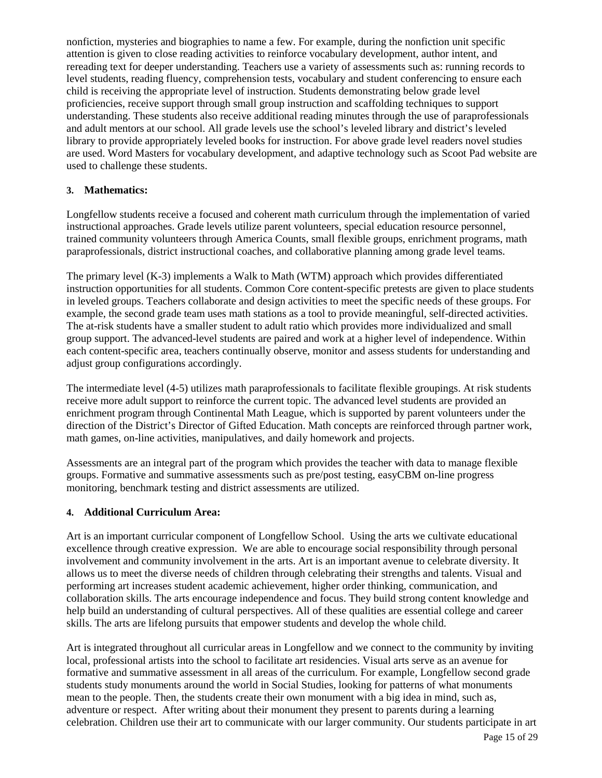nonfiction, mysteries and biographies to name a few. For example, during the nonfiction unit specific attention is given to close reading activities to reinforce vocabulary development, author intent, and rereading text for deeper understanding. Teachers use a variety of assessments such as: running records to level students, reading fluency, comprehension tests, vocabulary and student conferencing to ensure each child is receiving the appropriate level of instruction. Students demonstrating below grade level proficiencies, receive support through small group instruction and scaffolding techniques to support understanding. These students also receive additional reading minutes through the use of paraprofessionals and adult mentors at our school. All grade levels use the school's leveled library and district's leveled library to provide appropriately leveled books for instruction. For above grade level readers novel studies are used. Word Masters for vocabulary development, and adaptive technology such as Scoot Pad website are used to challenge these students.

#### **3. Mathematics:**

Longfellow students receive a focused and coherent math curriculum through the implementation of varied instructional approaches. Grade levels utilize parent volunteers, special education resource personnel, trained community volunteers through America Counts, small flexible groups, enrichment programs, math paraprofessionals, district instructional coaches, and collaborative planning among grade level teams.

The primary level (K-3) implements a Walk to Math (WTM) approach which provides differentiated instruction opportunities for all students. Common Core content-specific pretests are given to place students in leveled groups. Teachers collaborate and design activities to meet the specific needs of these groups. For example, the second grade team uses math stations as a tool to provide meaningful, self-directed activities. The at-risk students have a smaller student to adult ratio which provides more individualized and small group support. The advanced-level students are paired and work at a higher level of independence. Within each content-specific area, teachers continually observe, monitor and assess students for understanding and adjust group configurations accordingly.

The intermediate level (4-5) utilizes math paraprofessionals to facilitate flexible groupings. At risk students receive more adult support to reinforce the current topic. The advanced level students are provided an enrichment program through Continental Math League, which is supported by parent volunteers under the direction of the District's Director of Gifted Education. Math concepts are reinforced through partner work, math games, on-line activities, manipulatives, and daily homework and projects.

Assessments are an integral part of the program which provides the teacher with data to manage flexible groups. Formative and summative assessments such as pre/post testing, easyCBM on-line progress monitoring, benchmark testing and district assessments are utilized.

#### **4. Additional Curriculum Area:**

Art is an important curricular component of Longfellow School. Using the arts we cultivate educational excellence through creative expression. We are able to encourage social responsibility through personal involvement and community involvement in the arts. Art is an important avenue to celebrate diversity. It allows us to meet the diverse needs of children through celebrating their strengths and talents. Visual and performing art increases student academic achievement, higher order thinking, communication, and collaboration skills. The arts encourage independence and focus. They build strong content knowledge and help build an understanding of cultural perspectives. All of these qualities are essential college and career skills. The arts are lifelong pursuits that empower students and develop the whole child.

Art is integrated throughout all curricular areas in Longfellow and we connect to the community by inviting local, professional artists into the school to facilitate art residencies. Visual arts serve as an avenue for formative and summative assessment in all areas of the curriculum. For example, Longfellow second grade students study monuments around the world in Social Studies, looking for patterns of what monuments mean to the people. Then, the students create their own monument with a big idea in mind, such as, adventure or respect. After writing about their monument they present to parents during a learning celebration. Children use their art to communicate with our larger community. Our students participate in art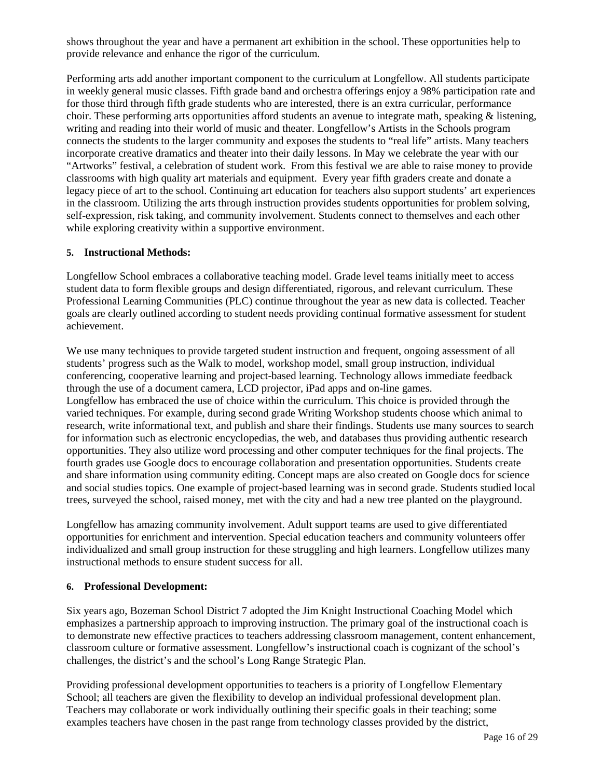shows throughout the year and have a permanent art exhibition in the school. These opportunities help to provide relevance and enhance the rigor of the curriculum.

Performing arts add another important component to the curriculum at Longfellow. All students participate in weekly general music classes. Fifth grade band and orchestra offerings enjoy a 98% participation rate and for those third through fifth grade students who are interested, there is an extra curricular, performance choir. These performing arts opportunities afford students an avenue to integrate math, speaking & listening, writing and reading into their world of music and theater. Longfellow's Artists in the Schools program connects the students to the larger community and exposes the students to "real life" artists. Many teachers incorporate creative dramatics and theater into their daily lessons. In May we celebrate the year with our "Artworks" festival, a celebration of student work. From this festival we are able to raise money to provide classrooms with high quality art materials and equipment. Every year fifth graders create and donate a legacy piece of art to the school. Continuing art education for teachers also support students' art experiences in the classroom. Utilizing the arts through instruction provides students opportunities for problem solving, self-expression, risk taking, and community involvement. Students connect to themselves and each other while exploring creativity within a supportive environment.

#### **5. Instructional Methods:**

Longfellow School embraces a collaborative teaching model. Grade level teams initially meet to access student data to form flexible groups and design differentiated, rigorous, and relevant curriculum. These Professional Learning Communities (PLC) continue throughout the year as new data is collected. Teacher goals are clearly outlined according to student needs providing continual formative assessment for student achievement.

We use many techniques to provide targeted student instruction and frequent, ongoing assessment of all students' progress such as the Walk to model, workshop model, small group instruction, individual conferencing, cooperative learning and project-based learning. Technology allows immediate feedback through the use of a document camera, LCD projector, iPad apps and on-line games. Longfellow has embraced the use of choice within the curriculum. This choice is provided through the varied techniques. For example, during second grade Writing Workshop students choose which animal to research, write informational text, and publish and share their findings. Students use many sources to search for information such as electronic encyclopedias, the web, and databases thus providing authentic research opportunities. They also utilize word processing and other computer techniques for the final projects. The fourth grades use Google docs to encourage collaboration and presentation opportunities. Students create and share information using community editing. Concept maps are also created on Google docs for science and social studies topics. One example of project-based learning was in second grade. Students studied local trees, surveyed the school, raised money, met with the city and had a new tree planted on the playground.

Longfellow has amazing community involvement. Adult support teams are used to give differentiated opportunities for enrichment and intervention. Special education teachers and community volunteers offer individualized and small group instruction for these struggling and high learners. Longfellow utilizes many instructional methods to ensure student success for all.

#### **6. Professional Development:**

Six years ago, Bozeman School District 7 adopted the Jim Knight Instructional Coaching Model which emphasizes a partnership approach to improving instruction. The primary goal of the instructional coach is to demonstrate new effective practices to teachers addressing classroom management, content enhancement, classroom culture or formative assessment. Longfellow's instructional coach is cognizant of the school's challenges, the district's and the school's Long Range Strategic Plan.

Providing professional development opportunities to teachers is a priority of Longfellow Elementary School; all teachers are given the flexibility to develop an individual professional development plan. Teachers may collaborate or work individually outlining their specific goals in their teaching; some examples teachers have chosen in the past range from technology classes provided by the district,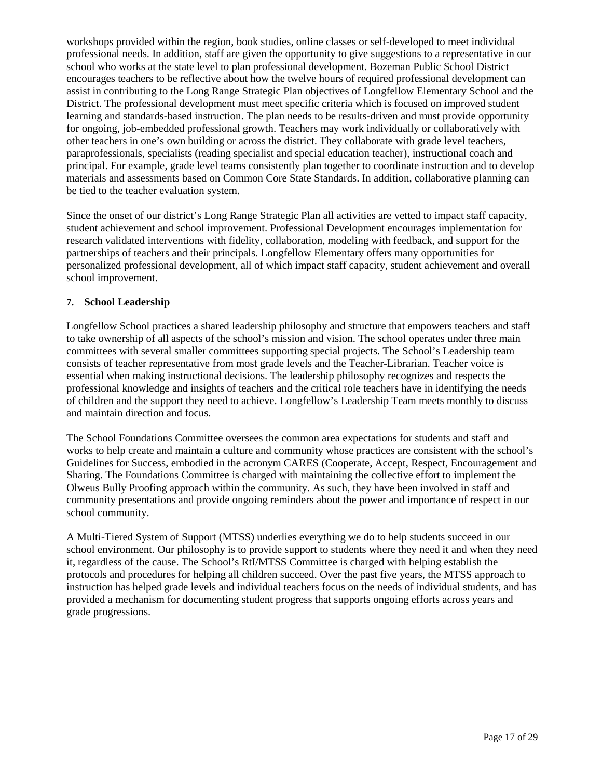workshops provided within the region, book studies, online classes or self-developed to meet individual professional needs. In addition, staff are given the opportunity to give suggestions to a representative in our school who works at the state level to plan professional development. Bozeman Public School District encourages teachers to be reflective about how the twelve hours of required professional development can assist in contributing to the Long Range Strategic Plan objectives of Longfellow Elementary School and the District. The professional development must meet specific criteria which is focused on improved student learning and standards-based instruction. The plan needs to be results-driven and must provide opportunity for ongoing, job-embedded professional growth. Teachers may work individually or collaboratively with other teachers in one's own building or across the district. They collaborate with grade level teachers, paraprofessionals, specialists (reading specialist and special education teacher), instructional coach and principal. For example, grade level teams consistently plan together to coordinate instruction and to develop materials and assessments based on Common Core State Standards. In addition, collaborative planning can be tied to the teacher evaluation system.

Since the onset of our district's Long Range Strategic Plan all activities are vetted to impact staff capacity, student achievement and school improvement. Professional Development encourages implementation for research validated interventions with fidelity, collaboration, modeling with feedback, and support for the partnerships of teachers and their principals. Longfellow Elementary offers many opportunities for personalized professional development, all of which impact staff capacity, student achievement and overall school improvement.

#### **7. School Leadership**

Longfellow School practices a shared leadership philosophy and structure that empowers teachers and staff to take ownership of all aspects of the school's mission and vision. The school operates under three main committees with several smaller committees supporting special projects. The School's Leadership team consists of teacher representative from most grade levels and the Teacher-Librarian. Teacher voice is essential when making instructional decisions. The leadership philosophy recognizes and respects the professional knowledge and insights of teachers and the critical role teachers have in identifying the needs of children and the support they need to achieve. Longfellow's Leadership Team meets monthly to discuss and maintain direction and focus.

The School Foundations Committee oversees the common area expectations for students and staff and works to help create and maintain a culture and community whose practices are consistent with the school's Guidelines for Success, embodied in the acronym CARES (Cooperate, Accept, Respect, Encouragement and Sharing. The Foundations Committee is charged with maintaining the collective effort to implement the Olweus Bully Proofing approach within the community. As such, they have been involved in staff and community presentations and provide ongoing reminders about the power and importance of respect in our school community.

A Multi-Tiered System of Support (MTSS) underlies everything we do to help students succeed in our school environment. Our philosophy is to provide support to students where they need it and when they need it, regardless of the cause. The School's RtI/MTSS Committee is charged with helping establish the protocols and procedures for helping all children succeed. Over the past five years, the MTSS approach to instruction has helped grade levels and individual teachers focus on the needs of individual students, and has provided a mechanism for documenting student progress that supports ongoing efforts across years and grade progressions.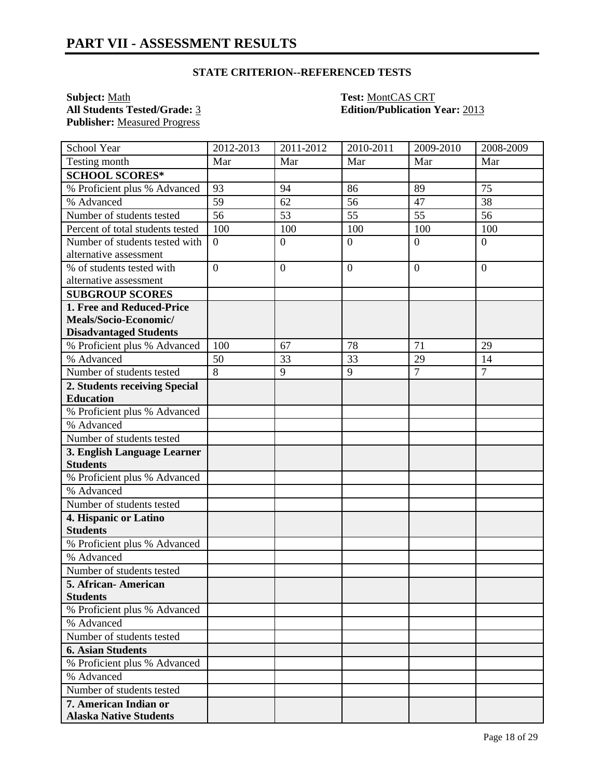**Subject:** <u>Math</u> **Test:** <u>MontCAS CRT</u><br> **All Students Tested/Grade:** <u>3</u> **Test: MontCAS CRT Edition/Publication 1 Publisher:** Measured Progress

**Edition/Publication Year: 2013** 

| School Year                                            | 2012-2013       | 2011-2012      | 2010-2011      | 2009-2010      | 2008-2009      |
|--------------------------------------------------------|-----------------|----------------|----------------|----------------|----------------|
| Testing month                                          | Mar             | Mar            | Mar            | Mar            | Mar            |
| <b>SCHOOL SCORES*</b>                                  |                 |                |                |                |                |
| % Proficient plus % Advanced                           | 93              | 94             | 86             | 89             | 75             |
| % Advanced                                             | 59              | 62             | 56             | 47             | 38             |
| Number of students tested                              | $\overline{56}$ | 53             | 55             | 55             | 56             |
| Percent of total students tested                       | 100             | 100            | 100            | 100            | 100            |
| Number of students tested with                         | $\overline{0}$  | $\overline{0}$ | $\overline{0}$ | $\overline{0}$ | $\overline{0}$ |
| alternative assessment                                 |                 |                |                |                |                |
| % of students tested with                              | $\overline{0}$  | $\overline{0}$ | $\overline{0}$ | $\theta$       | $\overline{0}$ |
| alternative assessment                                 |                 |                |                |                |                |
| <b>SUBGROUP SCORES</b>                                 |                 |                |                |                |                |
| 1. Free and Reduced-Price                              |                 |                |                |                |                |
| Meals/Socio-Economic/                                  |                 |                |                |                |                |
| <b>Disadvantaged Students</b>                          |                 |                |                |                |                |
| % Proficient plus % Advanced                           | 100             | 67             | 78             | 71             | 29             |
| % Advanced                                             | 50              | 33             | 33             | 29             | 14             |
| Number of students tested                              | $\overline{8}$  | 9              | 9              | $\overline{7}$ | $\overline{7}$ |
| 2. Students receiving Special                          |                 |                |                |                |                |
| <b>Education</b>                                       |                 |                |                |                |                |
| % Proficient plus % Advanced                           |                 |                |                |                |                |
| % Advanced                                             |                 |                |                |                |                |
| Number of students tested                              |                 |                |                |                |                |
| 3. English Language Learner                            |                 |                |                |                |                |
| <b>Students</b>                                        |                 |                |                |                |                |
| % Proficient plus % Advanced                           |                 |                |                |                |                |
| % Advanced                                             |                 |                |                |                |                |
| Number of students tested                              |                 |                |                |                |                |
| 4. Hispanic or Latino                                  |                 |                |                |                |                |
| <b>Students</b>                                        |                 |                |                |                |                |
| % Proficient plus % Advanced                           |                 |                |                |                |                |
| % Advanced                                             |                 |                |                |                |                |
| Number of students tested                              |                 |                |                |                |                |
| 5. African-American                                    |                 |                |                |                |                |
| <b>Students</b><br>% Proficient plus % Advanced        |                 |                |                |                |                |
| % Advanced                                             |                 |                |                |                |                |
|                                                        |                 |                |                |                |                |
| Number of students tested                              |                 |                |                |                |                |
| <b>6. Asian Students</b>                               |                 |                |                |                |                |
| % Proficient plus % Advanced                           |                 |                |                |                |                |
| % Advanced<br>Number of students tested                |                 |                |                |                |                |
|                                                        |                 |                |                |                |                |
| 7. American Indian or<br><b>Alaska Native Students</b> |                 |                |                |                |                |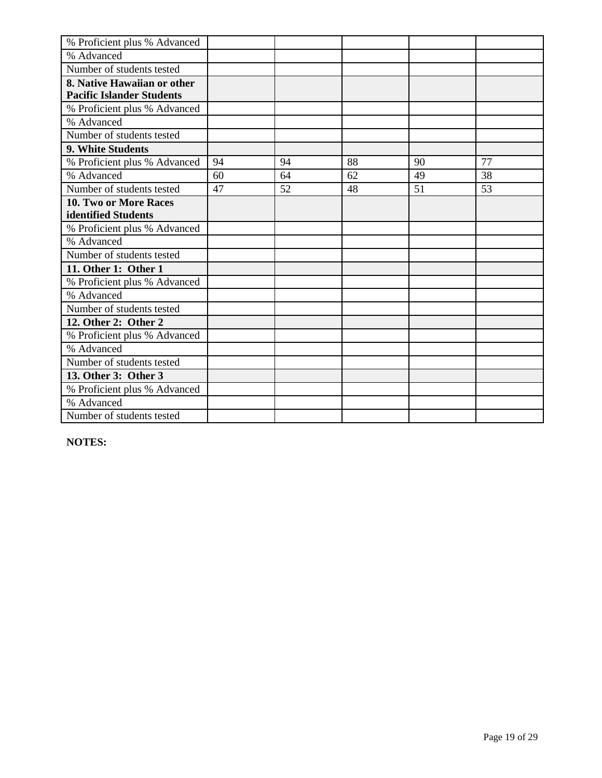| % Proficient plus % Advanced     |    |    |    |    |    |
|----------------------------------|----|----|----|----|----|
| % Advanced                       |    |    |    |    |    |
| Number of students tested        |    |    |    |    |    |
| 8. Native Hawaiian or other      |    |    |    |    |    |
| <b>Pacific Islander Students</b> |    |    |    |    |    |
| % Proficient plus % Advanced     |    |    |    |    |    |
| % Advanced                       |    |    |    |    |    |
| Number of students tested        |    |    |    |    |    |
| 9. White Students                |    |    |    |    |    |
| % Proficient plus % Advanced     | 94 | 94 | 88 | 90 | 77 |
| % Advanced                       | 60 | 64 | 62 | 49 | 38 |
| Number of students tested        | 47 | 52 | 48 | 51 | 53 |
| 10. Two or More Races            |    |    |    |    |    |
| identified Students              |    |    |    |    |    |
| % Proficient plus % Advanced     |    |    |    |    |    |
| % Advanced                       |    |    |    |    |    |
| Number of students tested        |    |    |    |    |    |
| 11. Other 1: Other 1             |    |    |    |    |    |
| % Proficient plus % Advanced     |    |    |    |    |    |
| % Advanced                       |    |    |    |    |    |
| Number of students tested        |    |    |    |    |    |
| 12. Other 2: Other 2             |    |    |    |    |    |
| % Proficient plus % Advanced     |    |    |    |    |    |
| % Advanced                       |    |    |    |    |    |
| Number of students tested        |    |    |    |    |    |
| 13. Other 3: Other 3             |    |    |    |    |    |
| % Proficient plus % Advanced     |    |    |    |    |    |
| % Advanced                       |    |    |    |    |    |
| Number of students tested        |    |    |    |    |    |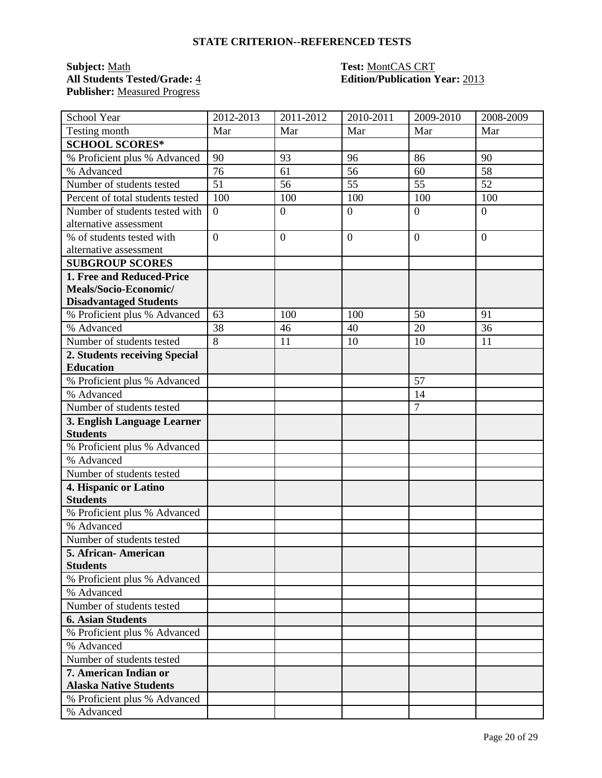### **Subject:** <u>Math</u><br>**All Students Tested/Grade: 4 Publisher:** Measured Progress

# **Test: MontCAS CRT<br>
<b>Edition/Publication Year:** 2013

| School Year                      | 2012-2013      | 2011-2012      | 2010-2011      | 2009-2010      | 2008-2009      |
|----------------------------------|----------------|----------------|----------------|----------------|----------------|
| Testing month                    | Mar            | Mar            | Mar            | Mar            | Mar            |
| <b>SCHOOL SCORES*</b>            |                |                |                |                |                |
| % Proficient plus % Advanced     | 90             | 93             | 96             | 86             | 90             |
| % Advanced                       | 76             | 61             | 56             | 60             | 58             |
| Number of students tested        | 51             | 56             | 55             | 55             | 52             |
| Percent of total students tested | 100            | 100            | 100            | 100            | 100            |
| Number of students tested with   | $\overline{0}$ | $\mathbf{0}$   | $\overline{0}$ | $\overline{0}$ | $\overline{0}$ |
| alternative assessment           |                |                |                |                |                |
| % of students tested with        | $\overline{0}$ | $\overline{0}$ | $\mathbf{0}$   | $\overline{0}$ | $\overline{0}$ |
| alternative assessment           |                |                |                |                |                |
| <b>SUBGROUP SCORES</b>           |                |                |                |                |                |
| 1. Free and Reduced-Price        |                |                |                |                |                |
| Meals/Socio-Economic/            |                |                |                |                |                |
| <b>Disadvantaged Students</b>    |                |                |                |                |                |
| % Proficient plus % Advanced     | 63             | 100            | 100            | 50             | 91             |
| % Advanced                       | 38             | 46             | 40             | 20             | 36             |
| Number of students tested        | 8              | 11             | 10             | 10             | 11             |
| 2. Students receiving Special    |                |                |                |                |                |
| <b>Education</b>                 |                |                |                |                |                |
| % Proficient plus % Advanced     |                |                |                | 57             |                |
| % Advanced                       |                |                |                | 14             |                |
| Number of students tested        |                |                |                | $\tau$         |                |
| 3. English Language Learner      |                |                |                |                |                |
| <b>Students</b>                  |                |                |                |                |                |
| % Proficient plus % Advanced     |                |                |                |                |                |
| % Advanced                       |                |                |                |                |                |
| Number of students tested        |                |                |                |                |                |
| 4. Hispanic or Latino            |                |                |                |                |                |
| <b>Students</b>                  |                |                |                |                |                |
| % Proficient plus % Advanced     |                |                |                |                |                |
| % Advanced                       |                |                |                |                |                |
| Number of students tested        |                |                |                |                |                |
| 5. African-American              |                |                |                |                |                |
| <b>Students</b>                  |                |                |                |                |                |
| % Proficient plus % Advanced     |                |                |                |                |                |
| % Advanced                       |                |                |                |                |                |
| Number of students tested        |                |                |                |                |                |
| <b>6. Asian Students</b>         |                |                |                |                |                |
| % Proficient plus % Advanced     |                |                |                |                |                |
| % Advanced                       |                |                |                |                |                |
| Number of students tested        |                |                |                |                |                |
| 7. American Indian or            |                |                |                |                |                |
| <b>Alaska Native Students</b>    |                |                |                |                |                |
| % Proficient plus % Advanced     |                |                |                |                |                |
| % Advanced                       |                |                |                |                |                |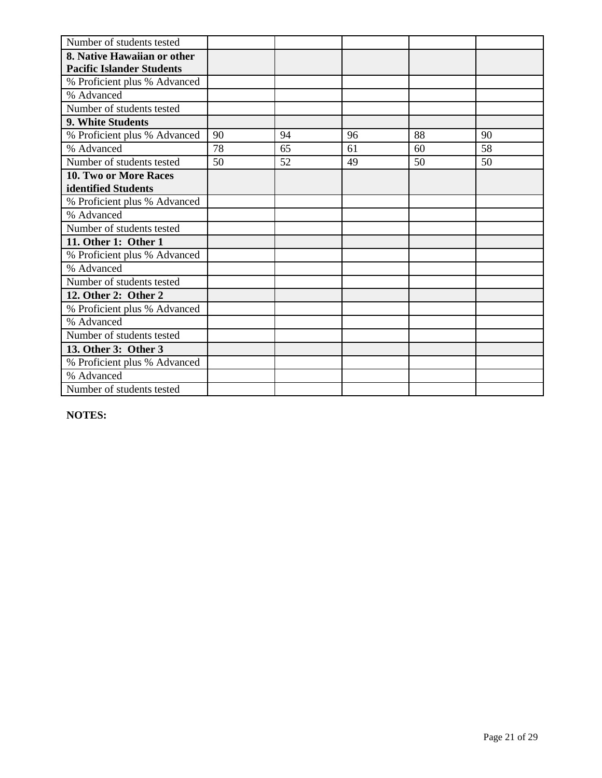| Number of students tested        |    |    |    |    |    |
|----------------------------------|----|----|----|----|----|
| 8. Native Hawaiian or other      |    |    |    |    |    |
| <b>Pacific Islander Students</b> |    |    |    |    |    |
| % Proficient plus % Advanced     |    |    |    |    |    |
| % Advanced                       |    |    |    |    |    |
| Number of students tested        |    |    |    |    |    |
| 9. White Students                |    |    |    |    |    |
| % Proficient plus % Advanced     | 90 | 94 | 96 | 88 | 90 |
| % Advanced                       | 78 | 65 | 61 | 60 | 58 |
| Number of students tested        | 50 | 52 | 49 | 50 | 50 |
| <b>10. Two or More Races</b>     |    |    |    |    |    |
| identified Students              |    |    |    |    |    |
| % Proficient plus % Advanced     |    |    |    |    |    |
| % Advanced                       |    |    |    |    |    |
| Number of students tested        |    |    |    |    |    |
| 11. Other 1: Other 1             |    |    |    |    |    |
| % Proficient plus % Advanced     |    |    |    |    |    |
| % Advanced                       |    |    |    |    |    |
| Number of students tested        |    |    |    |    |    |
| 12. Other 2: Other 2             |    |    |    |    |    |
| % Proficient plus % Advanced     |    |    |    |    |    |
| % Advanced                       |    |    |    |    |    |
| Number of students tested        |    |    |    |    |    |
| 13. Other 3: Other 3             |    |    |    |    |    |
| % Proficient plus % Advanced     |    |    |    |    |    |
| % Advanced                       |    |    |    |    |    |
| Number of students tested        |    |    |    |    |    |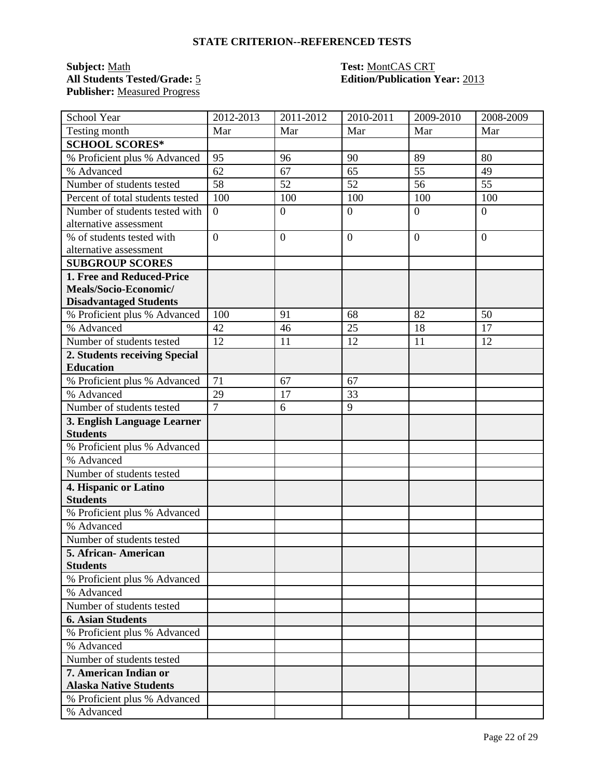### **Subject:** <u>Math</u><br>All Students Tested/Grade: 5 **Publisher:** Measured Progress

# **Test: MontCAS CRT<br>
<b>Edition/Publication Year:** 2013

| School Year                      | 2012-2013      | 2011-2012      | 2010-2011      | 2009-2010      | 2008-2009      |
|----------------------------------|----------------|----------------|----------------|----------------|----------------|
| Testing month                    | Mar            | Mar            | Mar            | Mar            | Mar            |
| <b>SCHOOL SCORES*</b>            |                |                |                |                |                |
| % Proficient plus % Advanced     | 95             | 96             | 90             | 89             | 80             |
| % Advanced                       | 62             | 67             | 65             | 55             | 49             |
| Number of students tested        | 58             | 52             | 52             | 56             | 55             |
| Percent of total students tested | 100            | 100            | 100            | 100            | 100            |
| Number of students tested with   | $\overline{0}$ | $\mathbf{0}$   | $\overline{0}$ | $\overline{0}$ | $\overline{0}$ |
| alternative assessment           |                |                |                |                |                |
| % of students tested with        | $\overline{0}$ | $\overline{0}$ | $\mathbf{0}$   | $\overline{0}$ | $\overline{0}$ |
| alternative assessment           |                |                |                |                |                |
| <b>SUBGROUP SCORES</b>           |                |                |                |                |                |
| 1. Free and Reduced-Price        |                |                |                |                |                |
| Meals/Socio-Economic/            |                |                |                |                |                |
| <b>Disadvantaged Students</b>    |                |                |                |                |                |
| % Proficient plus % Advanced     | 100            | 91             | 68             | 82             | 50             |
| % Advanced                       | 42             | 46             | 25             | 18             | 17             |
| Number of students tested        | 12             | 11             | 12             | 11             | 12             |
| 2. Students receiving Special    |                |                |                |                |                |
| <b>Education</b>                 |                |                |                |                |                |
| % Proficient plus % Advanced     | 71             | 67             | 67             |                |                |
| % Advanced                       | 29             | 17             | 33             |                |                |
| Number of students tested        | $\overline{7}$ | 6              | 9              |                |                |
| 3. English Language Learner      |                |                |                |                |                |
| <b>Students</b>                  |                |                |                |                |                |
| % Proficient plus % Advanced     |                |                |                |                |                |
| % Advanced                       |                |                |                |                |                |
| Number of students tested        |                |                |                |                |                |
| 4. Hispanic or Latino            |                |                |                |                |                |
| <b>Students</b>                  |                |                |                |                |                |
| % Proficient plus % Advanced     |                |                |                |                |                |
| % Advanced                       |                |                |                |                |                |
| Number of students tested        |                |                |                |                |                |
| 5. African-American              |                |                |                |                |                |
| <b>Students</b>                  |                |                |                |                |                |
| % Proficient plus % Advanced     |                |                |                |                |                |
| % Advanced                       |                |                |                |                |                |
| Number of students tested        |                |                |                |                |                |
| <b>6. Asian Students</b>         |                |                |                |                |                |
| % Proficient plus % Advanced     |                |                |                |                |                |
| % Advanced                       |                |                |                |                |                |
| Number of students tested        |                |                |                |                |                |
| 7. American Indian or            |                |                |                |                |                |
| <b>Alaska Native Students</b>    |                |                |                |                |                |
| % Proficient plus % Advanced     |                |                |                |                |                |
| % Advanced                       |                |                |                |                |                |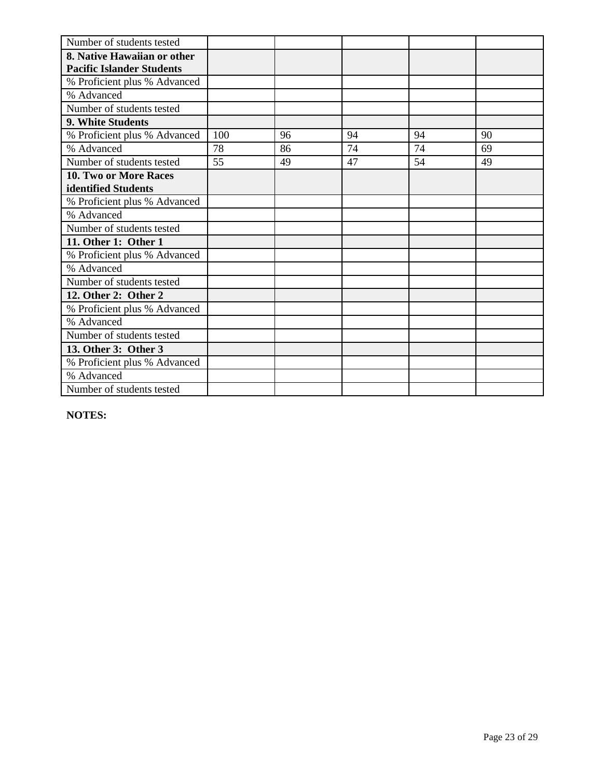| Number of students tested        |     |    |    |    |    |
|----------------------------------|-----|----|----|----|----|
| 8. Native Hawaiian or other      |     |    |    |    |    |
| <b>Pacific Islander Students</b> |     |    |    |    |    |
| % Proficient plus % Advanced     |     |    |    |    |    |
| % Advanced                       |     |    |    |    |    |
| Number of students tested        |     |    |    |    |    |
| 9. White Students                |     |    |    |    |    |
| % Proficient plus % Advanced     | 100 | 96 | 94 | 94 | 90 |
| % Advanced                       | 78  | 86 | 74 | 74 | 69 |
| Number of students tested        | 55  | 49 | 47 | 54 | 49 |
| <b>10. Two or More Races</b>     |     |    |    |    |    |
| identified Students              |     |    |    |    |    |
| % Proficient plus % Advanced     |     |    |    |    |    |
| % Advanced                       |     |    |    |    |    |
| Number of students tested        |     |    |    |    |    |
| 11. Other 1: Other 1             |     |    |    |    |    |
| % Proficient plus % Advanced     |     |    |    |    |    |
| % Advanced                       |     |    |    |    |    |
| Number of students tested        |     |    |    |    |    |
| 12. Other 2: Other 2             |     |    |    |    |    |
| % Proficient plus % Advanced     |     |    |    |    |    |
| % Advanced                       |     |    |    |    |    |
| Number of students tested        |     |    |    |    |    |
| 13. Other 3: Other 3             |     |    |    |    |    |
| % Proficient plus % Advanced     |     |    |    |    |    |
| % Advanced                       |     |    |    |    |    |
| Number of students tested        |     |    |    |    |    |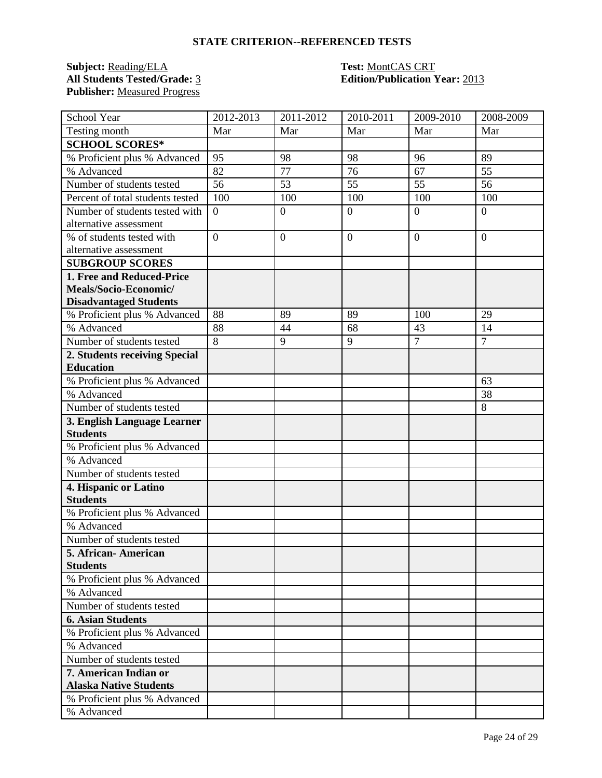### **Subject:** <u>Reading/ELA</u> **Test:** <u>MontCAS CRT</u><br>All Students Tested/Grade: <u>3</u> **Test: Edition/Publication** 1 **Publisher:** Measured Progress

### **All Students Tested/Grade:** 3 **Edition/Publication Year:** 2013

| School Year                      | 2012-2013        | 2011-2012      | $\overline{2010}$ -2011 | 2009-2010        | 2008-2009        |
|----------------------------------|------------------|----------------|-------------------------|------------------|------------------|
| Testing month                    | Mar              | Mar            | Mar                     | Mar              | Mar              |
| <b>SCHOOL SCORES*</b>            |                  |                |                         |                  |                  |
| % Proficient plus % Advanced     | 95               | 98             | 98                      | 96               | 89               |
| % Advanced                       | 82               | 77             | 76                      | 67               | 55               |
| Number of students tested        | 56               | 53             | 55                      | 55               | 56               |
| Percent of total students tested | 100              | 100            | 100                     | 100              | 100              |
| Number of students tested with   | $\boldsymbol{0}$ | $\mathbf{0}$   | $\overline{0}$          | $\boldsymbol{0}$ | $\boldsymbol{0}$ |
| alternative assessment           |                  |                |                         |                  |                  |
| % of students tested with        | $\overline{0}$   | $\overline{0}$ | $\overline{0}$          | $\overline{0}$   | $\overline{0}$   |
| alternative assessment           |                  |                |                         |                  |                  |
| <b>SUBGROUP SCORES</b>           |                  |                |                         |                  |                  |
| 1. Free and Reduced-Price        |                  |                |                         |                  |                  |
| Meals/Socio-Economic/            |                  |                |                         |                  |                  |
| <b>Disadvantaged Students</b>    |                  |                |                         |                  |                  |
| % Proficient plus % Advanced     | 88               | 89             | 89                      | 100              | 29               |
| % Advanced                       | 88               | 44             | 68                      | 43               | 14               |
| Number of students tested        | $\overline{8}$   | 9              | 9                       | $\overline{7}$   | $\overline{7}$   |
| 2. Students receiving Special    |                  |                |                         |                  |                  |
| <b>Education</b>                 |                  |                |                         |                  |                  |
| % Proficient plus % Advanced     |                  |                |                         |                  | 63               |
| % Advanced                       |                  |                |                         |                  | 38               |
| Number of students tested        |                  |                |                         |                  | 8                |
| 3. English Language Learner      |                  |                |                         |                  |                  |
| <b>Students</b>                  |                  |                |                         |                  |                  |
| % Proficient plus % Advanced     |                  |                |                         |                  |                  |
| % Advanced                       |                  |                |                         |                  |                  |
| Number of students tested        |                  |                |                         |                  |                  |
| 4. Hispanic or Latino            |                  |                |                         |                  |                  |
| <b>Students</b>                  |                  |                |                         |                  |                  |
| % Proficient plus % Advanced     |                  |                |                         |                  |                  |
| % Advanced                       |                  |                |                         |                  |                  |
| Number of students tested        |                  |                |                         |                  |                  |
| 5. African- American             |                  |                |                         |                  |                  |
| <b>Students</b>                  |                  |                |                         |                  |                  |
| % Proficient plus % Advanced     |                  |                |                         |                  |                  |
| % Advanced                       |                  |                |                         |                  |                  |
| Number of students tested        |                  |                |                         |                  |                  |
| <b>6. Asian Students</b>         |                  |                |                         |                  |                  |
| % Proficient plus % Advanced     |                  |                |                         |                  |                  |
| % Advanced                       |                  |                |                         |                  |                  |
| Number of students tested        |                  |                |                         |                  |                  |
| 7. American Indian or            |                  |                |                         |                  |                  |
| <b>Alaska Native Students</b>    |                  |                |                         |                  |                  |
| % Proficient plus % Advanced     |                  |                |                         |                  |                  |
| % Advanced                       |                  |                |                         |                  |                  |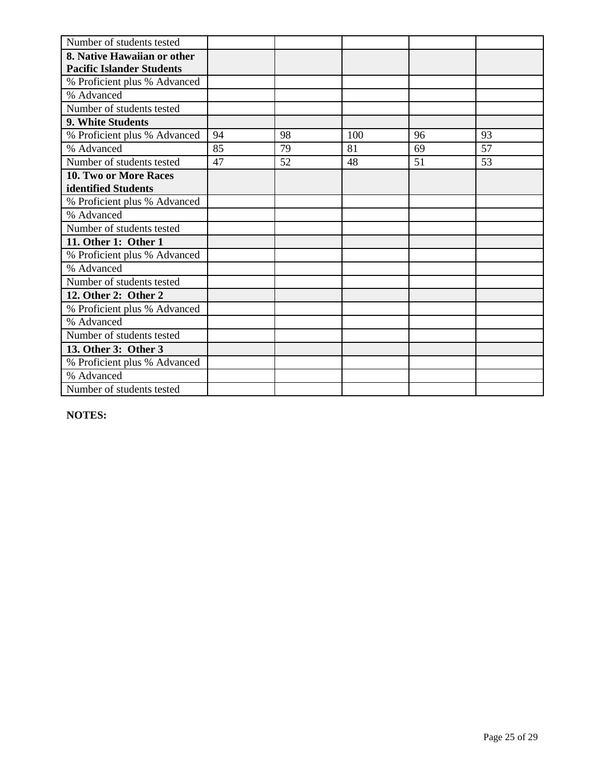| Number of students tested        |    |    |     |    |    |
|----------------------------------|----|----|-----|----|----|
| 8. Native Hawaiian or other      |    |    |     |    |    |
| <b>Pacific Islander Students</b> |    |    |     |    |    |
| % Proficient plus % Advanced     |    |    |     |    |    |
| % Advanced                       |    |    |     |    |    |
| Number of students tested        |    |    |     |    |    |
| 9. White Students                |    |    |     |    |    |
| % Proficient plus % Advanced     | 94 | 98 | 100 | 96 | 93 |
| % Advanced                       | 85 | 79 | 81  | 69 | 57 |
| Number of students tested        | 47 | 52 | 48  | 51 | 53 |
| 10. Two or More Races            |    |    |     |    |    |
| identified Students              |    |    |     |    |    |
| % Proficient plus % Advanced     |    |    |     |    |    |
| % Advanced                       |    |    |     |    |    |
| Number of students tested        |    |    |     |    |    |
| 11. Other 1: Other 1             |    |    |     |    |    |
| % Proficient plus % Advanced     |    |    |     |    |    |
| % Advanced                       |    |    |     |    |    |
| Number of students tested        |    |    |     |    |    |
| 12. Other 2: Other 2             |    |    |     |    |    |
| % Proficient plus % Advanced     |    |    |     |    |    |
| % Advanced                       |    |    |     |    |    |
| Number of students tested        |    |    |     |    |    |
| 13. Other 3: Other 3             |    |    |     |    |    |
| % Proficient plus % Advanced     |    |    |     |    |    |
| % Advanced                       |    |    |     |    |    |
| Number of students tested        |    |    |     |    |    |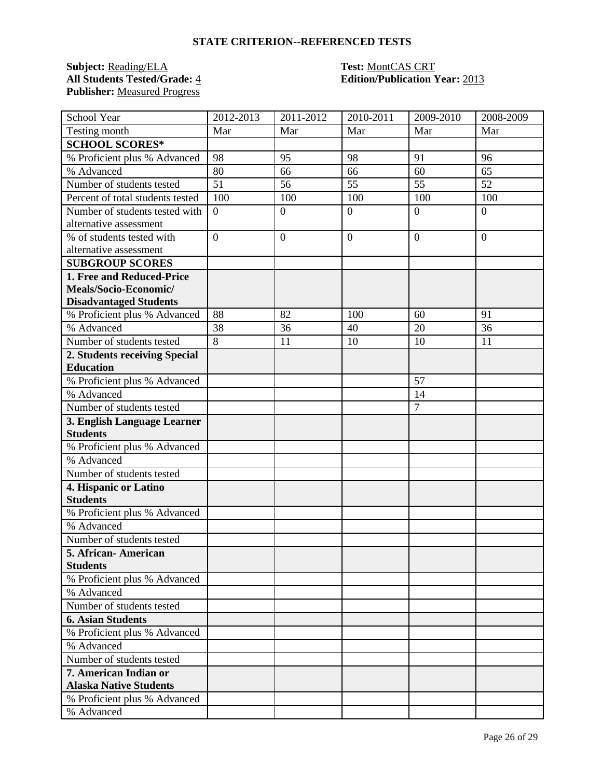### **Subject:** <u>Reading/ELA</u> **Test:** <u>MontCAS CRT</u><br> **All Students Tested/Grade:** 4 **Edition/Publication** 1 **Publisher:** Measured Progress

### **All Students Tested/Grade:** 4 **Edition/Publication Year:** 2013

| School Year                                            | 2012-2013        | 2011-2012      | 2010-2011      | 2009-2010      | 2008-2009      |
|--------------------------------------------------------|------------------|----------------|----------------|----------------|----------------|
| Testing month                                          | Mar              | Mar            | Mar            | Mar            | Mar            |
| <b>SCHOOL SCORES*</b>                                  |                  |                |                |                |                |
| % Proficient plus % Advanced                           | 98               | 95             | 98             | 91             | 96             |
| % Advanced                                             | 80               | 66             | 66             | 60             | 65             |
| Number of students tested                              | 51               | 56             | 55             | 55             | 52             |
| Percent of total students tested                       | 100              | 100            | 100            | 100            | 100            |
| Number of students tested with                         | $\boldsymbol{0}$ | $\mathbf{0}$   | $\overline{0}$ | $\overline{0}$ | $\overline{0}$ |
| alternative assessment                                 |                  |                |                |                |                |
| % of students tested with                              | $\overline{0}$   | $\overline{0}$ | $\overline{0}$ | $\overline{0}$ | $\overline{0}$ |
| alternative assessment                                 |                  |                |                |                |                |
| <b>SUBGROUP SCORES</b>                                 |                  |                |                |                |                |
| 1. Free and Reduced-Price                              |                  |                |                |                |                |
| Meals/Socio-Economic/                                  |                  |                |                |                |                |
| <b>Disadvantaged Students</b>                          |                  |                |                |                |                |
| % Proficient plus % Advanced                           | 88               | 82             | 100            | 60             | 91             |
| % Advanced                                             | 38               | 36             | 40             | 20             | 36             |
| Number of students tested                              | 8                | 11             | 10             | 10             | 11             |
| 2. Students receiving Special                          |                  |                |                |                |                |
| <b>Education</b>                                       |                  |                |                |                |                |
| % Proficient plus % Advanced                           |                  |                |                | 57             |                |
| % Advanced                                             |                  |                |                | 14             |                |
| Number of students tested                              |                  |                |                | $\overline{7}$ |                |
| 3. English Language Learner                            |                  |                |                |                |                |
| <b>Students</b>                                        |                  |                |                |                |                |
| % Proficient plus % Advanced                           |                  |                |                |                |                |
| % Advanced                                             |                  |                |                |                |                |
| Number of students tested                              |                  |                |                |                |                |
| 4. Hispanic or Latino                                  |                  |                |                |                |                |
| <b>Students</b>                                        |                  |                |                |                |                |
| % Proficient plus % Advanced                           |                  |                |                |                |                |
| % Advanced                                             |                  |                |                |                |                |
| Number of students tested                              |                  |                |                |                |                |
| 5. African-American                                    |                  |                |                |                |                |
| <b>Students</b>                                        |                  |                |                |                |                |
| % Proficient plus % Advanced                           |                  |                |                |                |                |
| % Advanced                                             |                  |                |                |                |                |
| Number of students tested                              |                  |                |                |                |                |
| <b>6. Asian Students</b>                               |                  |                |                |                |                |
| % Proficient plus % Advanced                           |                  |                |                |                |                |
| % Advanced                                             |                  |                |                |                |                |
| Number of students tested                              |                  |                |                |                |                |
| 7. American Indian or<br><b>Alaska Native Students</b> |                  |                |                |                |                |
| % Proficient plus % Advanced                           |                  |                |                |                |                |
| % Advanced                                             |                  |                |                |                |                |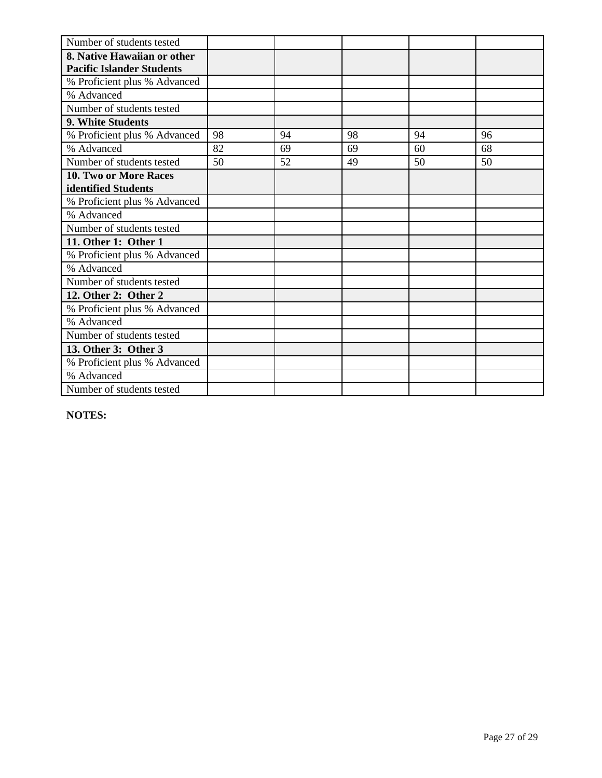| Number of students tested        |    |    |    |    |    |
|----------------------------------|----|----|----|----|----|
| 8. Native Hawaiian or other      |    |    |    |    |    |
| <b>Pacific Islander Students</b> |    |    |    |    |    |
| % Proficient plus % Advanced     |    |    |    |    |    |
| % Advanced                       |    |    |    |    |    |
| Number of students tested        |    |    |    |    |    |
| <b>9. White Students</b>         |    |    |    |    |    |
| % Proficient plus % Advanced     | 98 | 94 | 98 | 94 | 96 |
| % Advanced                       | 82 | 69 | 69 | 60 | 68 |
| Number of students tested        | 50 | 52 | 49 | 50 | 50 |
| <b>10. Two or More Races</b>     |    |    |    |    |    |
| identified Students              |    |    |    |    |    |
| % Proficient plus % Advanced     |    |    |    |    |    |
| % Advanced                       |    |    |    |    |    |
| Number of students tested        |    |    |    |    |    |
| 11. Other 1: Other 1             |    |    |    |    |    |
| % Proficient plus % Advanced     |    |    |    |    |    |
| % Advanced                       |    |    |    |    |    |
| Number of students tested        |    |    |    |    |    |
| 12. Other 2: Other 2             |    |    |    |    |    |
| % Proficient plus % Advanced     |    |    |    |    |    |
| % Advanced                       |    |    |    |    |    |
| Number of students tested        |    |    |    |    |    |
| 13. Other 3: Other 3             |    |    |    |    |    |
| % Proficient plus % Advanced     |    |    |    |    |    |
| % Advanced                       |    |    |    |    |    |
| Number of students tested        |    |    |    |    |    |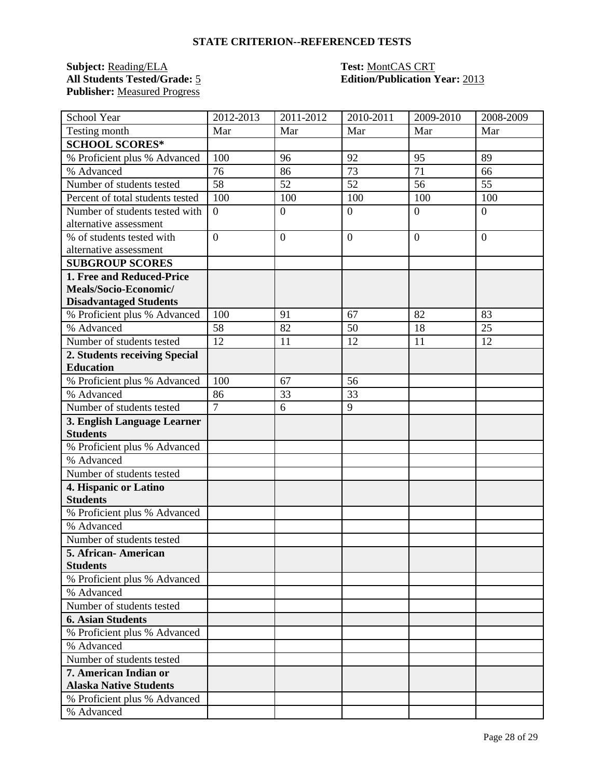### **Subject:** <u>Reading/ELA</u> **Test:** <u>MontCAS CRT</u><br>All Students Tested/Grade: <u>5</u> **Test: Edition/Publication** 1 **Publisher:** Measured Progress

### **Edition/Publication Year: 2013**

| School Year                      | 2012-2013        | 2011-2012        | 2010-2011      | 2009-2010        | 2008-2009        |
|----------------------------------|------------------|------------------|----------------|------------------|------------------|
| Testing month                    | Mar              | Mar              | Mar            | Mar              | Mar              |
| <b>SCHOOL SCORES*</b>            |                  |                  |                |                  |                  |
| % Proficient plus % Advanced     | 100              | 96               | 92             | 95               | 89               |
| % Advanced                       | 76               | 86               | 73             | 71               | 66               |
| Number of students tested        | 58               | 52               | 52             | 56               | 55               |
| Percent of total students tested | 100              | 100              | 100            | 100              | 100              |
| Number of students tested with   | $\boldsymbol{0}$ | $\boldsymbol{0}$ | $\overline{0}$ | $\boldsymbol{0}$ | $\boldsymbol{0}$ |
| alternative assessment           |                  |                  |                |                  |                  |
| % of students tested with        | $\overline{0}$   | $\overline{0}$   | $\overline{0}$ | $\overline{0}$   | $\overline{0}$   |
| alternative assessment           |                  |                  |                |                  |                  |
| <b>SUBGROUP SCORES</b>           |                  |                  |                |                  |                  |
| 1. Free and Reduced-Price        |                  |                  |                |                  |                  |
| Meals/Socio-Economic/            |                  |                  |                |                  |                  |
| <b>Disadvantaged Students</b>    |                  |                  |                |                  |                  |
| % Proficient plus % Advanced     | 100              | 91               | 67             | 82               | 83               |
| % Advanced                       | 58               | 82               | 50             | 18               | 25               |
| Number of students tested        | 12               | 11               | 12             | 11               | 12               |
| 2. Students receiving Special    |                  |                  |                |                  |                  |
| <b>Education</b>                 |                  |                  |                |                  |                  |
| % Proficient plus % Advanced     | 100              | 67               | 56             |                  |                  |
| % Advanced                       | 86               | 33               | 33             |                  |                  |
| Number of students tested        | $\overline{7}$   | 6                | 9              |                  |                  |
| 3. English Language Learner      |                  |                  |                |                  |                  |
| <b>Students</b>                  |                  |                  |                |                  |                  |
| % Proficient plus % Advanced     |                  |                  |                |                  |                  |
| % Advanced                       |                  |                  |                |                  |                  |
| Number of students tested        |                  |                  |                |                  |                  |
| 4. Hispanic or Latino            |                  |                  |                |                  |                  |
| <b>Students</b>                  |                  |                  |                |                  |                  |
| % Proficient plus % Advanced     |                  |                  |                |                  |                  |
| % Advanced                       |                  |                  |                |                  |                  |
| Number of students tested        |                  |                  |                |                  |                  |
| 5. African- American             |                  |                  |                |                  |                  |
| <b>Students</b>                  |                  |                  |                |                  |                  |
| % Proficient plus % Advanced     |                  |                  |                |                  |                  |
| % Advanced                       |                  |                  |                |                  |                  |
| Number of students tested        |                  |                  |                |                  |                  |
| <b>6. Asian Students</b>         |                  |                  |                |                  |                  |
| % Proficient plus % Advanced     |                  |                  |                |                  |                  |
| % Advanced                       |                  |                  |                |                  |                  |
| Number of students tested        |                  |                  |                |                  |                  |
| 7. American Indian or            |                  |                  |                |                  |                  |
| <b>Alaska Native Students</b>    |                  |                  |                |                  |                  |
| % Proficient plus % Advanced     |                  |                  |                |                  |                  |
| % Advanced                       |                  |                  |                |                  |                  |